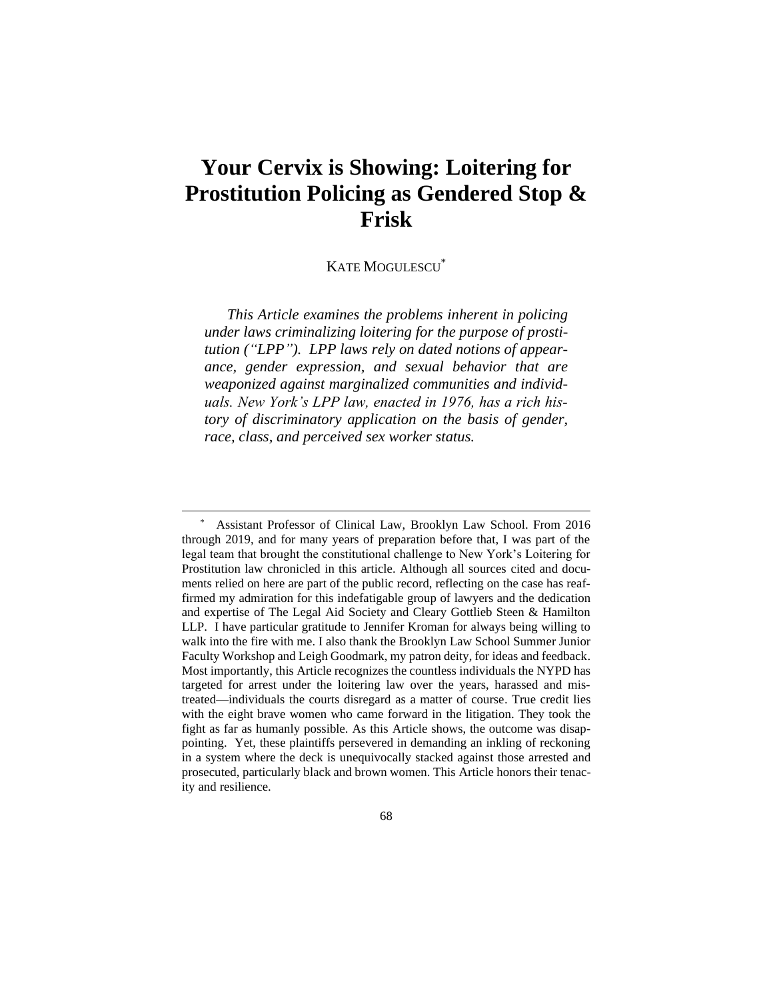# **Your Cervix is Showing: Loitering for Prostitution Policing as Gendered Stop & Frisk**

## KATE MOGULESCU\*

*This Article examines the problems inherent in policing under laws criminalizing loitering for the purpose of prostitution ("LPP"). LPP laws rely on dated notions of appearance, gender expression, and sexual behavior that are weaponized against marginalized communities and individuals. New York's LPP law, enacted in 1976, has a rich history of discriminatory application on the basis of gender, race, class, and perceived sex worker status.* 

<sup>\*</sup> Assistant Professor of Clinical Law, Brooklyn Law School. From 2016 through 2019, and for many years of preparation before that, I was part of the legal team that brought the constitutional challenge to New York's Loitering for Prostitution law chronicled in this article. Although all sources cited and documents relied on here are part of the public record, reflecting on the case has reaffirmed my admiration for this indefatigable group of lawyers and the dedication and expertise of The Legal Aid Society and Cleary Gottlieb Steen & Hamilton LLP. I have particular gratitude to Jennifer Kroman for always being willing to walk into the fire with me. I also thank the Brooklyn Law School Summer Junior Faculty Workshop and Leigh Goodmark, my patron deity, for ideas and feedback. Most importantly, this Article recognizes the countless individuals the NYPD has targeted for arrest under the loitering law over the years, harassed and mistreated—individuals the courts disregard as a matter of course. True credit lies with the eight brave women who came forward in the litigation. They took the fight as far as humanly possible. As this Article shows, the outcome was disappointing. Yet, these plaintiffs persevered in demanding an inkling of reckoning in a system where the deck is unequivocally stacked against those arrested and prosecuted, particularly black and brown women. This Article honors their tenacity and resilience.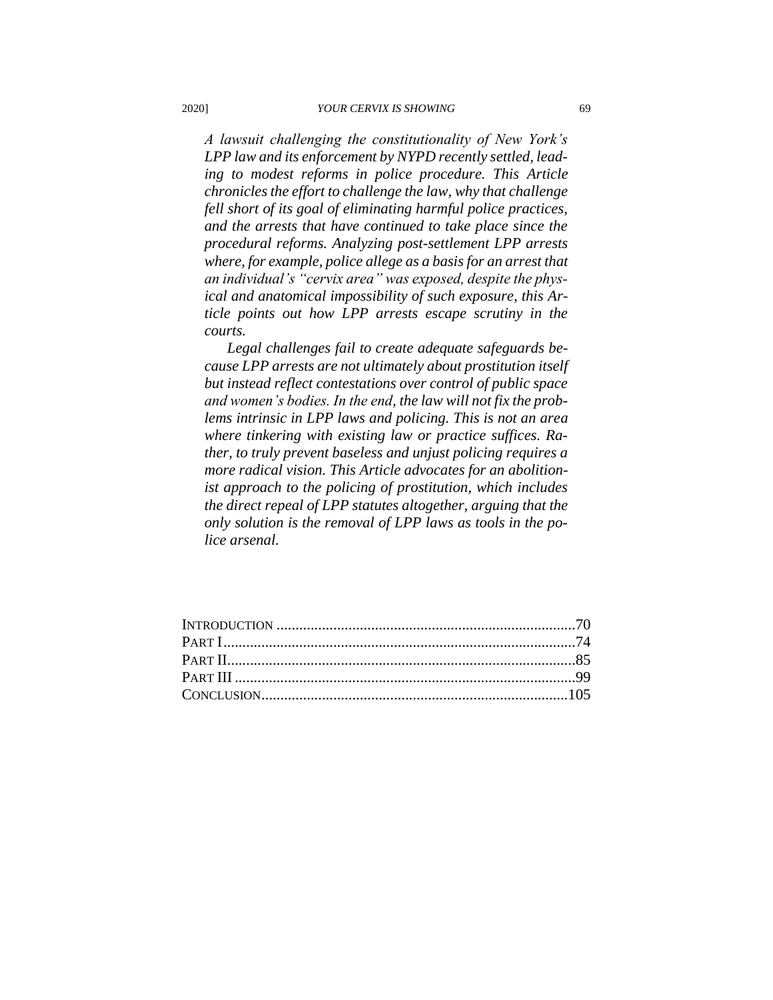*A lawsuit challenging the constitutionality of New York's LPP law and its enforcement by NYPD recently settled, leading to modest reforms in police procedure. This Article chronicles the effort to challenge the law, why that challenge fell short of its goal of eliminating harmful police practices, and the arrests that have continued to take place since the procedural reforms. Analyzing post-settlement LPP arrests where, for example, police allege as a basis for an arrest that an individual's "cervix area" was exposed, despite the physical and anatomical impossibility of such exposure, this Article points out how LPP arrests escape scrutiny in the courts.*

*Legal challenges fail to create adequate safeguards because LPP arrests are not ultimately about prostitution itself but instead reflect contestations over control of public space and women's bodies. In the end, the law will not fix the problems intrinsic in LPP laws and policing. This is not an area where tinkering with existing law or practice suffices. Rather, to truly prevent baseless and unjust policing requires a more radical vision. This Article advocates for an abolitionist approach to the policing of prostitution, which includes the direct repeal of LPP statutes altogether, arguing that the only solution is the removal of LPP laws as tools in the police arsenal.*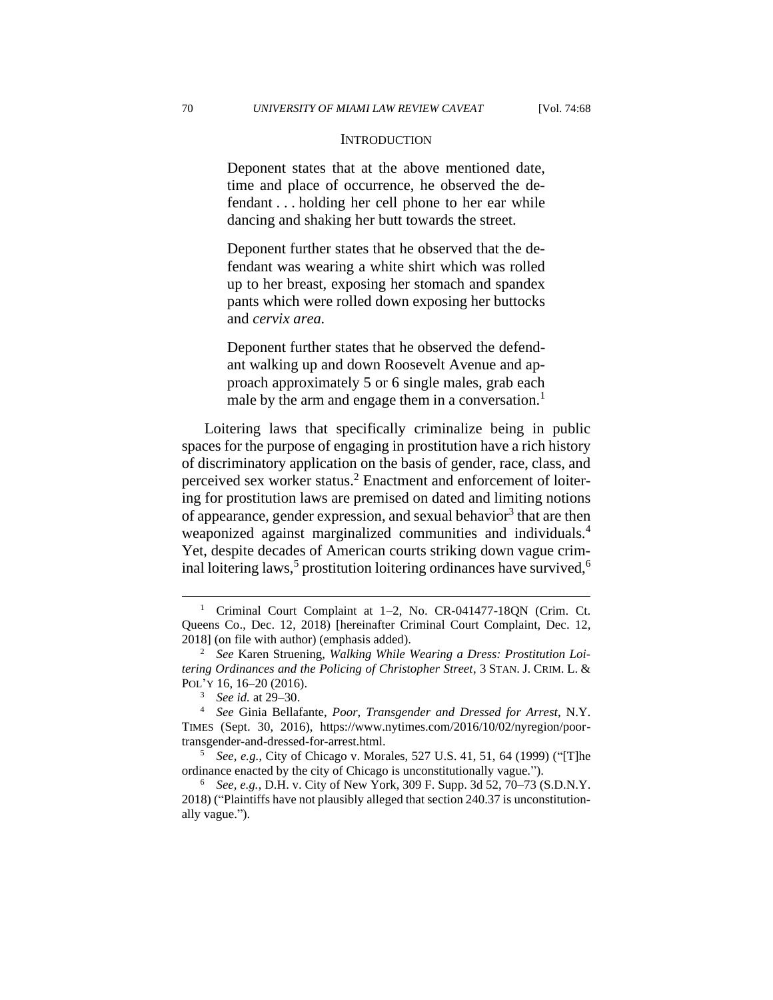#### **INTRODUCTION**

Deponent states that at the above mentioned date, time and place of occurrence, he observed the defendant . . . holding her cell phone to her ear while dancing and shaking her butt towards the street.

Deponent further states that he observed that the defendant was wearing a white shirt which was rolled up to her breast, exposing her stomach and spandex pants which were rolled down exposing her buttocks and *cervix area.*

Deponent further states that he observed the defendant walking up and down Roosevelt Avenue and approach approximately 5 or 6 single males, grab each male by the arm and engage them in a conversation.<sup>1</sup>

Loitering laws that specifically criminalize being in public spaces for the purpose of engaging in prostitution have a rich history of discriminatory application on the basis of gender, race, class, and perceived sex worker status.<sup>2</sup> Enactment and enforcement of loitering for prostitution laws are premised on dated and limiting notions of appearance, gender expression, and sexual behavior<sup>3</sup> that are then weaponized against marginalized communities and individuals.<sup>4</sup> Yet, despite decades of American courts striking down vague criminal loitering laws,<sup>5</sup> prostitution loitering ordinances have survived,<sup>6</sup>

<sup>&</sup>lt;sup>1</sup> Criminal Court Complaint at 1-2, No. CR-041477-18QN (Crim. Ct. Queens Co., Dec. 12, 2018) [hereinafter Criminal Court Complaint, Dec. 12, 2018] (on file with author) (emphasis added).

<sup>2</sup> *See* Karen Struening, *Walking While Wearing a Dress: Prostitution Loitering Ordinances and the Policing of Christopher Street*, 3 STAN. J. CRIM. L. & POL'Y 16, 16–20 (2016).

<sup>3</sup> *See id.* at 29–30.

<sup>4</sup> *See* Ginia Bellafante, *Poor, Transgender and Dressed for Arrest*, N.Y. TIMES (Sept. 30, 2016), https://www.nytimes.com/2016/10/02/nyregion/poortransgender-and-dressed-for-arrest.html.

<sup>5</sup> *See, e.g.*, City of Chicago v. Morales, 527 U.S. 41, 51, 64 (1999) ("[T]he ordinance enacted by the city of Chicago is unconstitutionally vague.").

<sup>6</sup> *See, e.g.*, D.H. v. City of New York, 309 F. Supp. 3d 52, 70–73 (S.D.N.Y. 2018) ("Plaintiffs have not plausibly alleged that section 240.37 is unconstitutionally vague.").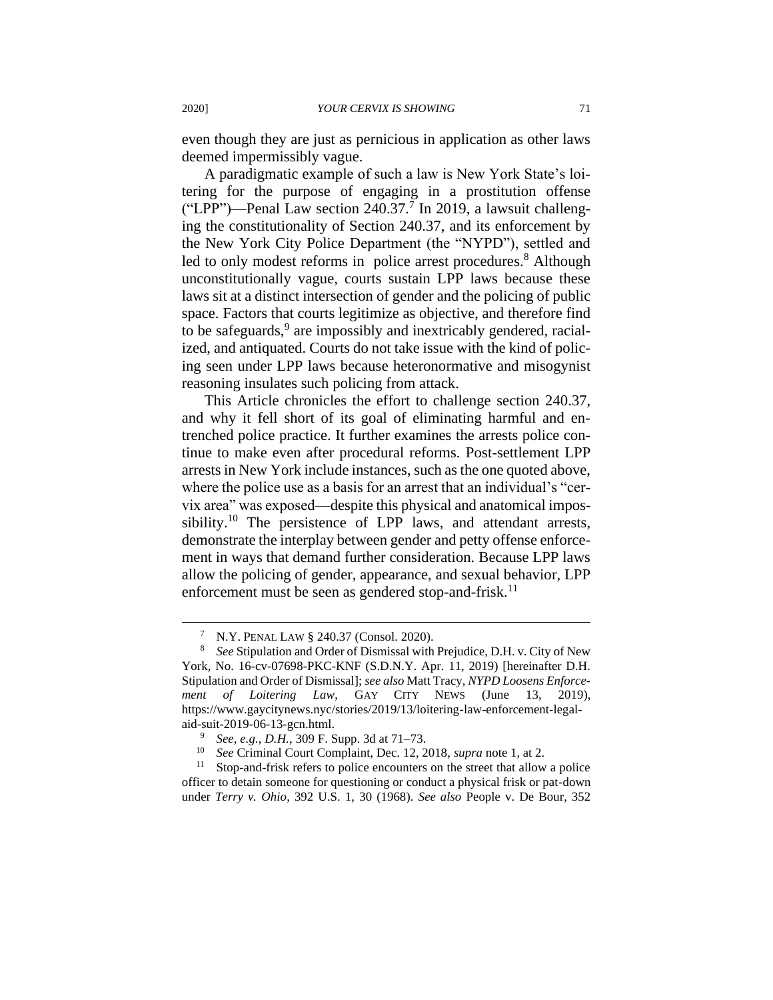even though they are just as pernicious in application as other laws deemed impermissibly vague.

A paradigmatic example of such a law is New York State's loitering for the purpose of engaging in a prostitution offense ("LPP")—Penal Law section  $240.37$ .<sup>7</sup> In 2019, a lawsuit challenging the constitutionality of Section 240.37, and its enforcement by the New York City Police Department (the "NYPD"), settled and led to only modest reforms in police arrest procedures. <sup>8</sup> Although unconstitutionally vague, courts sustain LPP laws because these laws sit at a distinct intersection of gender and the policing of public space. Factors that courts legitimize as objective, and therefore find to be safeguards,<sup>9</sup> are impossibly and inextricably gendered, racialized, and antiquated. Courts do not take issue with the kind of policing seen under LPP laws because heteronormative and misogynist reasoning insulates such policing from attack.

This Article chronicles the effort to challenge section 240.37, and why it fell short of its goal of eliminating harmful and entrenched police practice. It further examines the arrests police continue to make even after procedural reforms. Post-settlement LPP arrests in New York include instances, such as the one quoted above, where the police use as a basis for an arrest that an individual's "cervix area" was exposed—despite this physical and anatomical impossibility.<sup>10</sup> The persistence of LPP laws, and attendant arrests, demonstrate the interplay between gender and petty offense enforcement in ways that demand further consideration. Because LPP laws allow the policing of gender, appearance, and sexual behavior, LPP enforcement must be seen as gendered stop-and-frisk.<sup>11</sup>

<sup>7</sup> N.Y. PENAL LAW § 240.37 (Consol. 2020).

<sup>8</sup> *See* Stipulation and Order of Dismissal with Prejudice, D.H. v. City of New York, No. 16-cv-07698-PKC-KNF (S.D.N.Y. Apr. 11, 2019) [hereinafter D.H. Stipulation and Order of Dismissal]; *see also* Matt Tracy, *NYPD Loosens Enforcement of Loitering Law*, GAY CITY NEWS (June 13, 2019), https://www.gaycitynews.nyc/stories/2019/13/loitering-law-enforcement-legalaid-suit-2019-06-13-gcn.html.

<sup>9</sup> *See, e.g.*, *D.H.*, 309 F. Supp. 3d at 71–73.

<sup>10</sup> *See* Criminal Court Complaint, Dec. 12, 2018, *supra* note 1, at 2.

 $11$  Stop-and-frisk refers to police encounters on the street that allow a police officer to detain someone for questioning or conduct a physical frisk or pat-down under *Terry v. Ohio*, 392 U.S. 1, 30 (1968). *See also* People v. De Bour, 352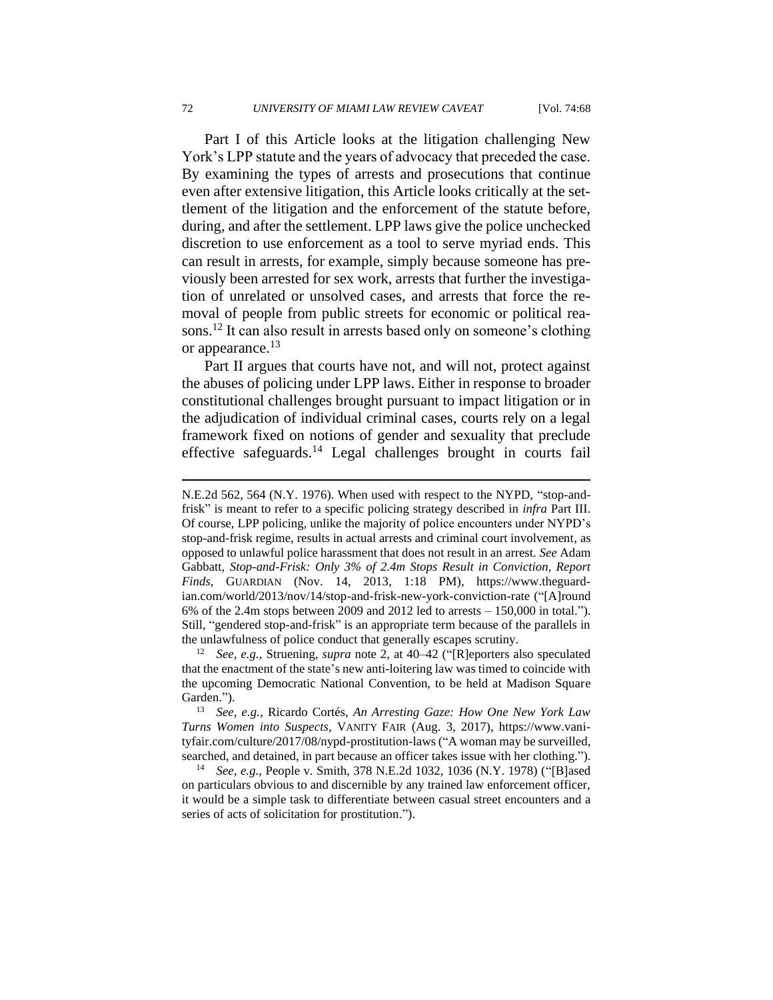Part I of this Article looks at the litigation challenging New York's LPP statute and the years of advocacy that preceded the case. By examining the types of arrests and prosecutions that continue even after extensive litigation, this Article looks critically at the settlement of the litigation and the enforcement of the statute before, during, and after the settlement. LPP laws give the police unchecked discretion to use enforcement as a tool to serve myriad ends. This can result in arrests, for example, simply because someone has previously been arrested for sex work, arrests that further the investigation of unrelated or unsolved cases, and arrests that force the removal of people from public streets for economic or political reasons.<sup>12</sup> It can also result in arrests based only on someone's clothing or appearance.<sup>13</sup>

Part II argues that courts have not, and will not, protect against the abuses of policing under LPP laws. Either in response to broader constitutional challenges brought pursuant to impact litigation or in the adjudication of individual criminal cases, courts rely on a legal framework fixed on notions of gender and sexuality that preclude effective safeguards.<sup>14</sup> Legal challenges brought in courts fail

N.E.2d 562, 564 (N.Y. 1976). When used with respect to the NYPD, "stop-andfrisk" is meant to refer to a specific policing strategy described in *infra* Part III. Of course, LPP policing, unlike the majority of police encounters under NYPD's stop-and-frisk regime, results in actual arrests and criminal court involvement, as opposed to unlawful police harassment that does not result in an arrest. *See* Adam Gabbatt, *Stop-and-Frisk: Only 3% of 2.4m Stops Result in Conviction, Report Finds*, GUARDIAN (Nov. 14, 2013, 1:18 PM), https://www.theguardian.com/world/2013/nov/14/stop-and-frisk-new-york-conviction-rate ("[A]round 6% of the 2.4m stops between 2009 and 2012 led to arrests – 150,000 in total."). Still, "gendered stop-and-frisk" is an appropriate term because of the parallels in the unlawfulness of police conduct that generally escapes scrutiny.

<sup>12</sup> *See, e.g.*, Struening, *supra* note 2, at 40–42 ("[R]eporters also speculated that the enactment of the state's new anti-loitering law was timed to coincide with the upcoming Democratic National Convention, to be held at Madison Square Garden.").

<sup>13</sup> *See, e.g.*, Ricardo Cortés, *An Arresting Gaze: How One New York Law Turns Women into Suspects*, VANITY FAIR (Aug. 3, 2017), https://www.vanityfair.com/culture/2017/08/nypd-prostitution-laws ("A woman may be surveilled, searched, and detained, in part because an officer takes issue with her clothing.").

<sup>14</sup> *See, e.g.*, People v. Smith, 378 N.E.2d 1032, 1036 (N.Y. 1978) ("[B]ased on particulars obvious to and discernible by any trained law enforcement officer, it would be a simple task to differentiate between casual street encounters and a series of acts of solicitation for prostitution.").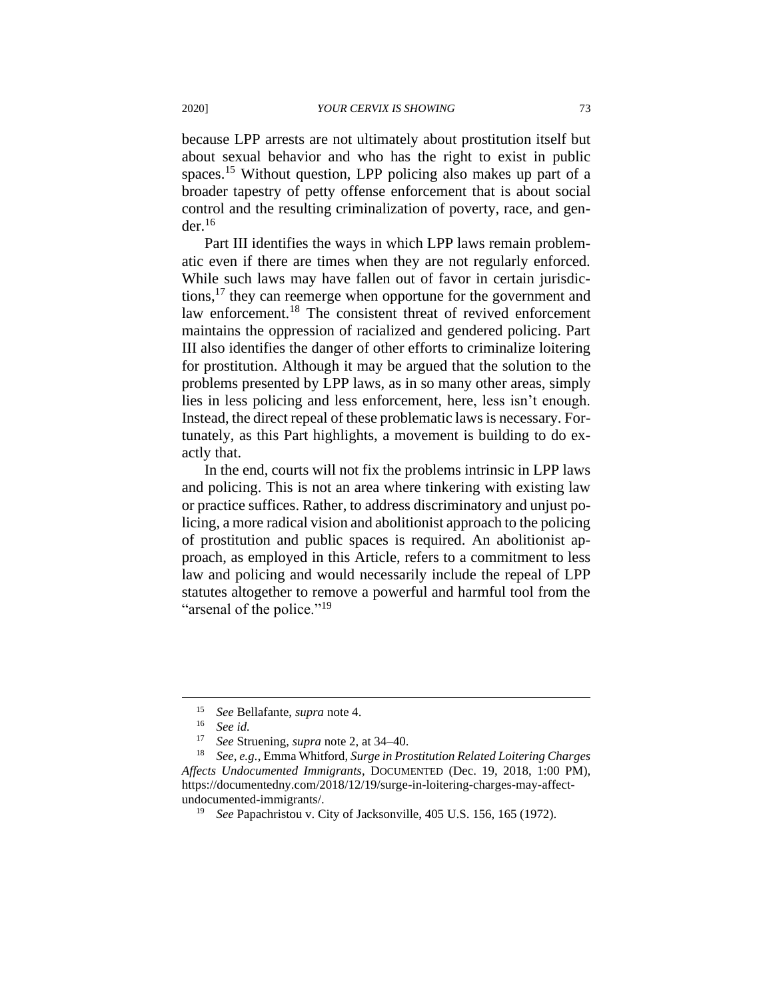because LPP arrests are not ultimately about prostitution itself but about sexual behavior and who has the right to exist in public spaces.<sup>15</sup> Without question, LPP policing also makes up part of a broader tapestry of petty offense enforcement that is about social control and the resulting criminalization of poverty, race, and gen $der<sup>16</sup>$ 

Part III identifies the ways in which LPP laws remain problematic even if there are times when they are not regularly enforced. While such laws may have fallen out of favor in certain jurisdictions,<sup>17</sup> they can reemerge when opportune for the government and law enforcement.<sup>18</sup> The consistent threat of revived enforcement maintains the oppression of racialized and gendered policing. Part III also identifies the danger of other efforts to criminalize loitering for prostitution. Although it may be argued that the solution to the problems presented by LPP laws, as in so many other areas, simply lies in less policing and less enforcement, here, less isn't enough. Instead, the direct repeal of these problematic laws is necessary. Fortunately, as this Part highlights, a movement is building to do exactly that.

In the end, courts will not fix the problems intrinsic in LPP laws and policing. This is not an area where tinkering with existing law or practice suffices. Rather, to address discriminatory and unjust policing, a more radical vision and abolitionist approach to the policing of prostitution and public spaces is required. An abolitionist approach, as employed in this Article, refers to a commitment to less law and policing and would necessarily include the repeal of LPP statutes altogether to remove a powerful and harmful tool from the "arsenal of the police."<sup>19</sup>

<sup>15</sup> *See* Bellafante, *supra* note 4.

<sup>16</sup> *See id.*

<sup>17</sup> *See* Struening, *supra* note 2, at 34–40.

<sup>18</sup> *See, e.g.*, Emma Whitford, *Surge in Prostitution Related Loitering Charges Affects Undocumented Immigrants*, DOCUMENTED (Dec. 19, 2018, 1:00 PM), https://documentedny.com/2018/12/19/surge-in-loitering-charges-may-affectundocumented-immigrants/.

<sup>19</sup> *See* Papachristou v. City of Jacksonville, 405 U.S. 156, 165 (1972).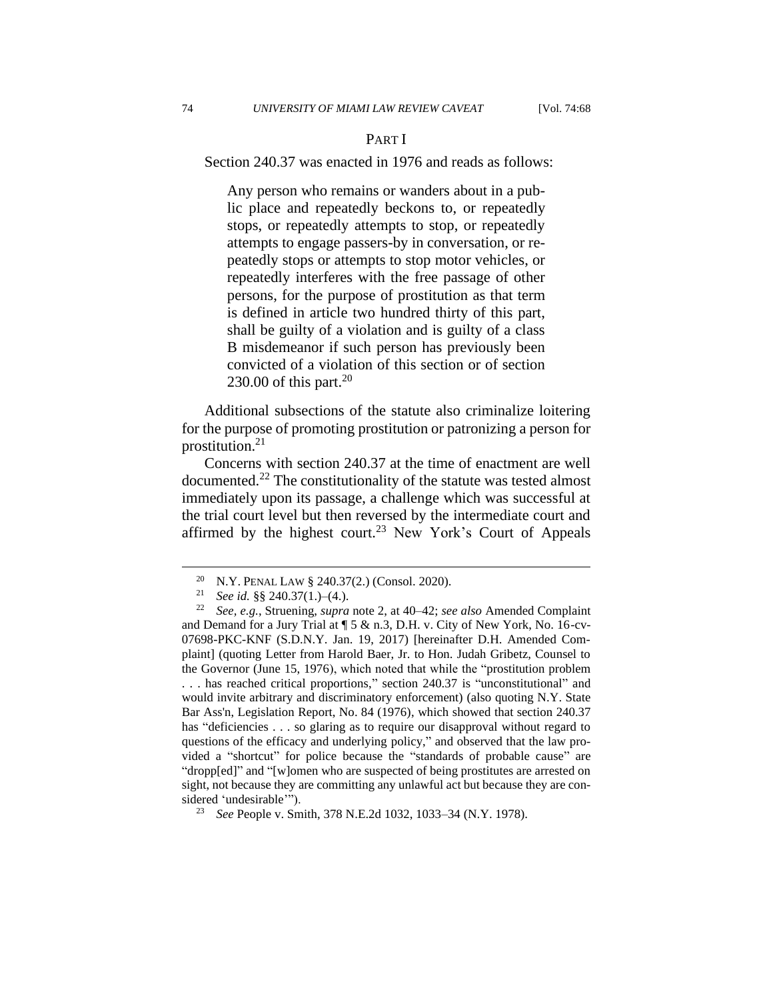## PART I

Section 240.37 was enacted in 1976 and reads as follows:

Any person who remains or wanders about in a public place and repeatedly beckons to, or repeatedly stops, or repeatedly attempts to stop, or repeatedly attempts to engage passers-by in conversation, or repeatedly stops or attempts to stop motor vehicles, or repeatedly interferes with the free passage of other persons, for the purpose of prostitution as that term is defined in article two hundred thirty of this part, shall be guilty of a violation and is guilty of a class B misdemeanor if such person has previously been convicted of a violation of this section or of section 230.00 of this part.<sup>20</sup>

Additional subsections of the statute also criminalize loitering for the purpose of promoting prostitution or patronizing a person for prostitution.<sup>21</sup>

Concerns with section 240.37 at the time of enactment are well documented.<sup>22</sup> The constitutionality of the statute was tested almost immediately upon its passage, a challenge which was successful at the trial court level but then reversed by the intermediate court and affirmed by the highest court.<sup>23</sup> New York's Court of Appeals

<sup>&</sup>lt;sup>20</sup> N.Y. PENAL LAW § 240.37(2.) (Consol. 2020).<br><sup>21</sup> See id 88.240.37(1.)-(4.)

<sup>21</sup> *See id.* §§ 240.37(1.)–(4.).

<sup>22</sup> *See, e.g.*, Struening, *supra* note 2, at 40–42; *see also* Amended Complaint and Demand for a Jury Trial at ¶ 5 & n.3, D.H. v. City of New York, No. 16-cv-07698-PKC-KNF (S.D.N.Y. Jan. 19, 2017) [hereinafter D.H. Amended Complaint] (quoting Letter from Harold Baer, Jr. to Hon. Judah Gribetz, Counsel to the Governor (June 15, 1976), which noted that while the "prostitution problem . . . has reached critical proportions," section 240.37 is "unconstitutional" and would invite arbitrary and discriminatory enforcement) (also quoting N.Y. State Bar Ass'n, Legislation Report, No. 84 (1976), which showed that section 240.37 has "deficiencies . . . so glaring as to require our disapproval without regard to questions of the efficacy and underlying policy," and observed that the law provided a "shortcut" for police because the "standards of probable cause" are "dropp[ed]" and "[w]omen who are suspected of being prostitutes are arrested on sight, not because they are committing any unlawful act but because they are considered 'undesirable'").

<sup>23</sup> *See* People v. Smith, 378 N.E.2d 1032, 1033–34 (N.Y. 1978).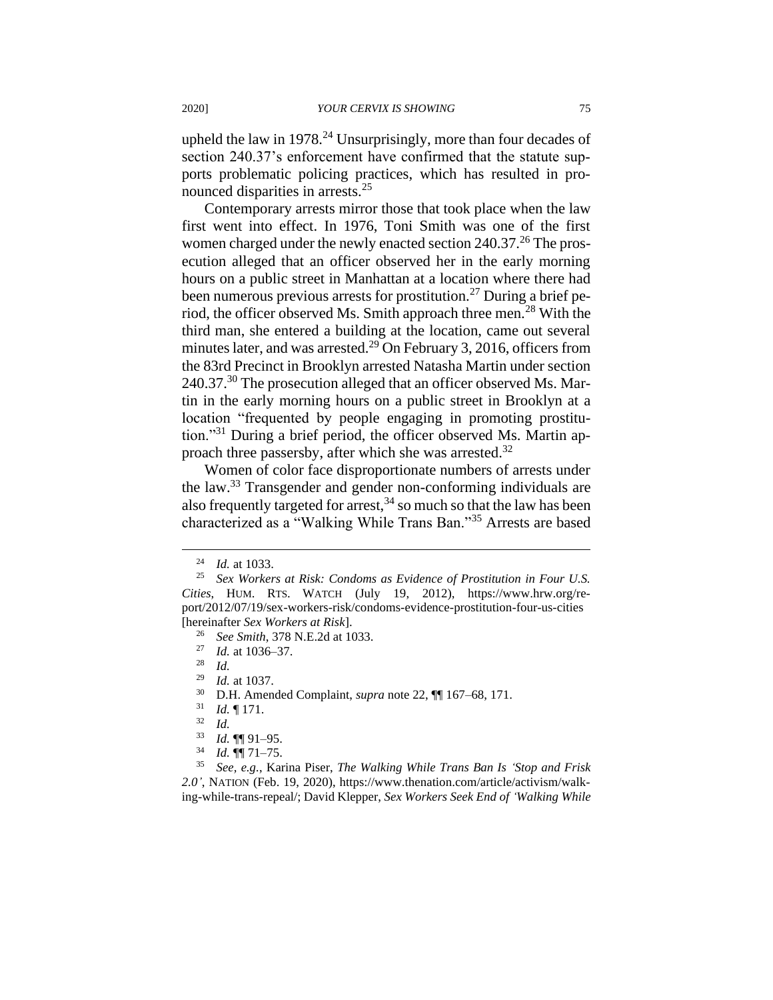upheld the law in 1978.<sup>24</sup> Unsurprisingly, more than four decades of section 240.37's enforcement have confirmed that the statute supports problematic policing practices, which has resulted in pronounced disparities in arrests.<sup>25</sup>

Contemporary arrests mirror those that took place when the law first went into effect. In 1976, Toni Smith was one of the first women charged under the newly enacted section  $240.37<sup>26</sup>$  The prosecution alleged that an officer observed her in the early morning hours on a public street in Manhattan at a location where there had been numerous previous arrests for prostitution.<sup>27</sup> During a brief period, the officer observed Ms. Smith approach three men.<sup>28</sup> With the third man, she entered a building at the location, came out several minutes later, and was arrested.<sup>29</sup> On February 3, 2016, officers from the 83rd Precinct in Brooklyn arrested Natasha Martin under section 240.37.<sup>30</sup> The prosecution alleged that an officer observed Ms. Martin in the early morning hours on a public street in Brooklyn at a location "frequented by people engaging in promoting prostitution."<sup>31</sup> During a brief period, the officer observed Ms. Martin approach three passersby, after which she was arrested.<sup>32</sup>

Women of color face disproportionate numbers of arrests under the law.<sup>33</sup> Transgender and gender non-conforming individuals are also frequently targeted for arrest,  $34$  so much so that the law has been characterized as a "Walking While Trans Ban."<sup>35</sup> Arrests are based

*Id.* at 1037.

<sup>24</sup> *Id.* at 1033.

<sup>25</sup> *Sex Workers at Risk: Condoms as Evidence of Prostitution in Four U.S. Cities*, HUM. RTS. WATCH (July 19, 2012), https://www.hrw.org/report/2012/07/19/sex-workers-risk/condoms-evidence-prostitution-four-us-cities [hereinafter *Sex Workers at Risk*].

<sup>26</sup> *See Smith*, 378 N.E.2d at 1033.

<sup>27</sup> *Id.* at 1036–37.

 $rac{28}{29}$  *Id.* 

<sup>30</sup> D.H. Amended Complaint, *supra* note 22, ¶¶ 167–68, 171.

<sup>31</sup> *Id.* ¶ 171.

 $rac{32}{33}$  *Id.* 

<sup>33</sup> *Id.* ¶¶ 91–95.

<sup>34</sup> *Id.* ¶¶ 71–75.

<sup>35</sup> *See, e.g.*, Karina Piser, *The Walking While Trans Ban Is 'Stop and Frisk 2.0'*, NATION (Feb. 19, 2020), https://www.thenation.com/article/activism/walking-while-trans-repeal/; David Klepper, *Sex Workers Seek End of 'Walking While*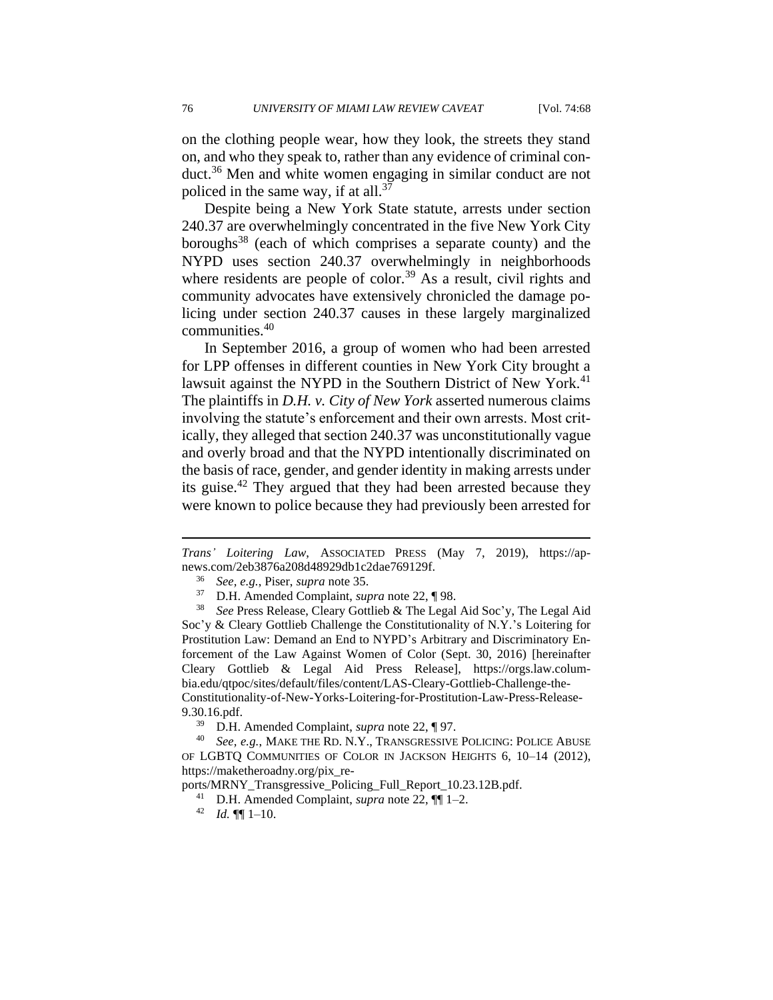on the clothing people wear, how they look, the streets they stand on, and who they speak to, rather than any evidence of criminal conduct.<sup>36</sup> Men and white women engaging in similar conduct are not policed in the same way, if at all. $37$ 

Despite being a New York State statute, arrests under section 240.37 are overwhelmingly concentrated in the five New York City boroughs<sup>38</sup> (each of which comprises a separate county) and the NYPD uses section 240.37 overwhelmingly in neighborhoods where residents are people of color.<sup>39</sup> As a result, civil rights and community advocates have extensively chronicled the damage policing under section 240.37 causes in these largely marginalized communities.<sup>40</sup>

In September 2016, a group of women who had been arrested for LPP offenses in different counties in New York City brought a lawsuit against the NYPD in the Southern District of New York.<sup>41</sup> The plaintiffs in *D.H. v. City of New York* asserted numerous claims involving the statute's enforcement and their own arrests. Most critically, they alleged that section 240.37 was unconstitutionally vague and overly broad and that the NYPD intentionally discriminated on the basis of race, gender, and gender identity in making arrests under its guise.<sup>42</sup> They argued that they had been arrested because they were known to police because they had previously been arrested for

*Trans' Loitering Law*, ASSOCIATED PRESS (May 7, 2019), https://apnews.com/2eb3876a208d48929db1c2dae769129f.

<sup>36</sup> *See, e.g.*, Piser, *supra* note 35.

<sup>37</sup> D.H. Amended Complaint, *supra* note 22, ¶ 98.

<sup>38</sup> *See* Press Release, Cleary Gottlieb & The Legal Aid Soc'y, The Legal Aid Soc'y & Cleary Gottlieb Challenge the Constitutionality of N.Y.'s Loitering for Prostitution Law: Demand an End to NYPD's Arbitrary and Discriminatory Enforcement of the Law Against Women of Color (Sept. 30, 2016) [hereinafter Cleary Gottlieb & Legal Aid Press Release], https://orgs.law.columbia.edu/qtpoc/sites/default/files/content/LAS-Cleary-Gottlieb-Challenge-the-Constitutionality-of-New-Yorks-Loitering-for-Prostitution-Law-Press-Release-9.30.16.pdf.

<sup>39</sup> D.H. Amended Complaint, *supra* note 22, ¶ 97.

<sup>40</sup> *See, e.g.*, MAKE THE RD. N.Y., TRANSGRESSIVE POLICING: POLICE ABUSE OF LGBTQ COMMUNITIES OF COLOR IN JACKSON HEIGHTS 6, 10–14 (2012), https://maketheroadny.org/pix\_re-

ports/MRNY\_Transgressive\_Policing\_Full\_Report\_10.23.12B.pdf.

<sup>41</sup> D.H. Amended Complaint, *supra* note 22, ¶¶ 1–2.

 $42$  *Id.*  $\P\P$  1-10.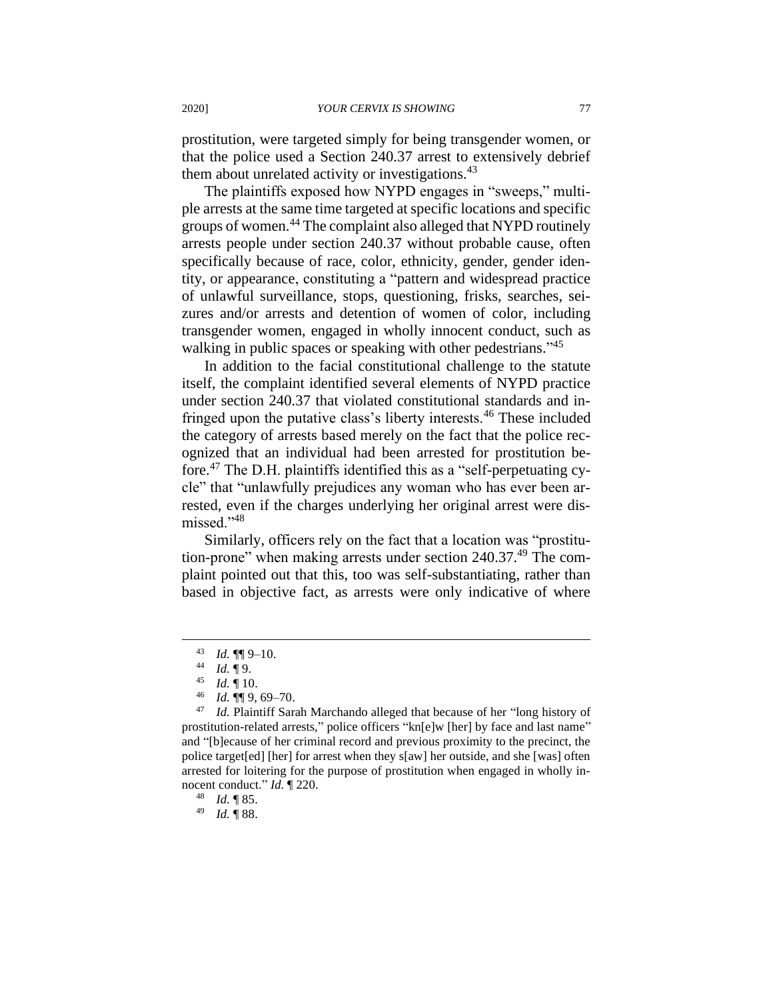prostitution, were targeted simply for being transgender women, or that the police used a Section 240.37 arrest to extensively debrief them about unrelated activity or investigations.<sup>43</sup>

The plaintiffs exposed how NYPD engages in "sweeps," multiple arrests at the same time targeted at specific locations and specific groups of women.<sup>44</sup> The complaint also alleged that NYPD routinely arrests people under section 240.37 without probable cause, often specifically because of race, color, ethnicity, gender, gender identity, or appearance, constituting a "pattern and widespread practice of unlawful surveillance, stops, questioning, frisks, searches, seizures and/or arrests and detention of women of color, including transgender women, engaged in wholly innocent conduct, such as walking in public spaces or speaking with other pedestrians."<sup>45</sup>

In addition to the facial constitutional challenge to the statute itself, the complaint identified several elements of NYPD practice under section 240.37 that violated constitutional standards and infringed upon the putative class's liberty interests.<sup>46</sup> These included the category of arrests based merely on the fact that the police recognized that an individual had been arrested for prostitution before.<sup>47</sup> The D.H. plaintiffs identified this as a "self-perpetuating cycle" that "unlawfully prejudices any woman who has ever been arrested, even if the charges underlying her original arrest were dismissed."<sup>48</sup>

Similarly, officers rely on the fact that a location was "prostitution-prone" when making arrests under section 240.37.<sup>49</sup> The complaint pointed out that this, too was self-substantiating, rather than based in objective fact, as arrests were only indicative of where

 $^{43}$  *Id.*  $\P\P$  9-10.

 $\frac{44}{45}$  *Id.* 19.

*Id.*  $\P$  10.

<sup>46</sup> *Id.* ¶¶ 9, 69–70.

<sup>47</sup> *Id.* Plaintiff Sarah Marchando alleged that because of her "long history of prostitution-related arrests," police officers "kn[e]w [her] by face and last name" and "[b]ecause of her criminal record and previous proximity to the precinct, the police target[ed] [her] for arrest when they s[aw] her outside, and she [was] often arrested for loitering for the purpose of prostitution when engaged in wholly innocent conduct." *Id.* ¶ 220.

<sup>48</sup> *Id.* ¶ 85.

<sup>49</sup> *Id.* ¶ 88.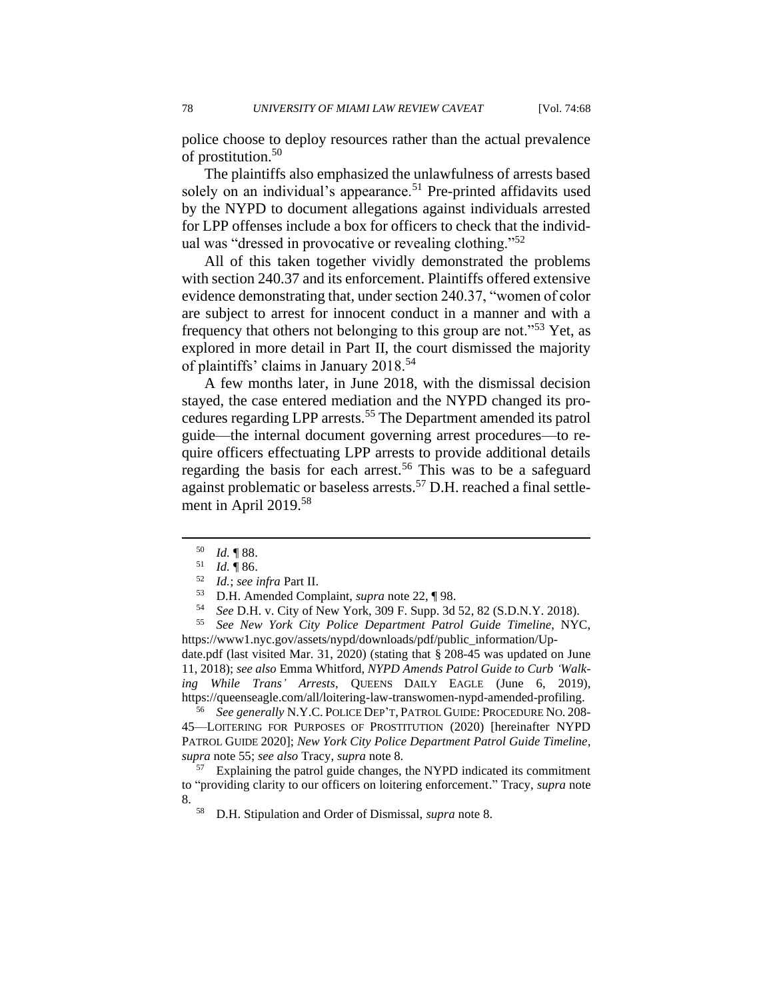78 *UNIVERSITY OF MIAMI LAW REVIEW CAVEAT* [Vol. 74:68

police choose to deploy resources rather than the actual prevalence of prostitution.<sup>50</sup>

The plaintiffs also emphasized the unlawfulness of arrests based solely on an individual's appearance.<sup>51</sup> Pre-printed affidavits used by the NYPD to document allegations against individuals arrested for LPP offenses include a box for officers to check that the individual was "dressed in provocative or revealing clothing."<sup>52</sup>

All of this taken together vividly demonstrated the problems with section 240.37 and its enforcement. Plaintiffs offered extensive evidence demonstrating that, under section 240.37, "women of color are subject to arrest for innocent conduct in a manner and with a frequency that others not belonging to this group are not."<sup>53</sup> Yet, as explored in more detail in Part II, the court dismissed the majority of plaintiffs' claims in January 2018.<sup>54</sup>

A few months later, in June 2018, with the dismissal decision stayed, the case entered mediation and the NYPD changed its procedures regarding LPP arrests.<sup>55</sup> The Department amended its patrol guide—the internal document governing arrest procedures—to require officers effectuating LPP arrests to provide additional details regarding the basis for each arrest.<sup>56</sup> This was to be a safeguard against problematic or baseless arrests.<sup>57</sup> D.H. reached a final settlement in April 2019.<sup>58</sup>

<sup>55</sup> *See New York City Police Department Patrol Guide Timeline*, NYC, https://www1.nyc.gov/assets/nypd/downloads/pdf/public\_information/Up-

date.pdf (last visited Mar. 31, 2020) (stating that § 208-45 was updated on June 11, 2018); *see also* Emma Whitford, *NYPD Amends Patrol Guide to Curb 'Walking While Trans' Arrests*, QUEENS DAILY EAGLE (June 6, 2019), https://queenseagle.com/all/loitering-law-transwomen-nypd-amended-profiling.

<sup>56</sup> *See generally* N.Y.C. POLICE DEP'T, PATROL GUIDE: PROCEDURE NO. 208- 45—LOITERING FOR PURPOSES OF PROSTITUTION (2020) [hereinafter NYPD PATROL GUIDE 2020]; *New York City Police Department Patrol Guide Timeline*, *supra* note 55; *see also* Tracy, *supra* note 8.

<sup>57</sup> Explaining the patrol guide changes, the NYPD indicated its commitment to "providing clarity to our officers on loitering enforcement." Tracy, *supra* note 8.

<sup>58</sup> D.H. Stipulation and Order of Dismissal, *supra* note 8.

<sup>50</sup> *Id.* ¶ 88.

<sup>51</sup> *Id.* ¶ 86.

<sup>52</sup> *Id.*; *see infra* Part II.

<sup>53</sup> D.H. Amended Complaint, *supra* note 22, ¶ 98.

<sup>54</sup> *See* D.H. v. City of New York, 309 F. Supp. 3d 52, 82 (S.D.N.Y. 2018).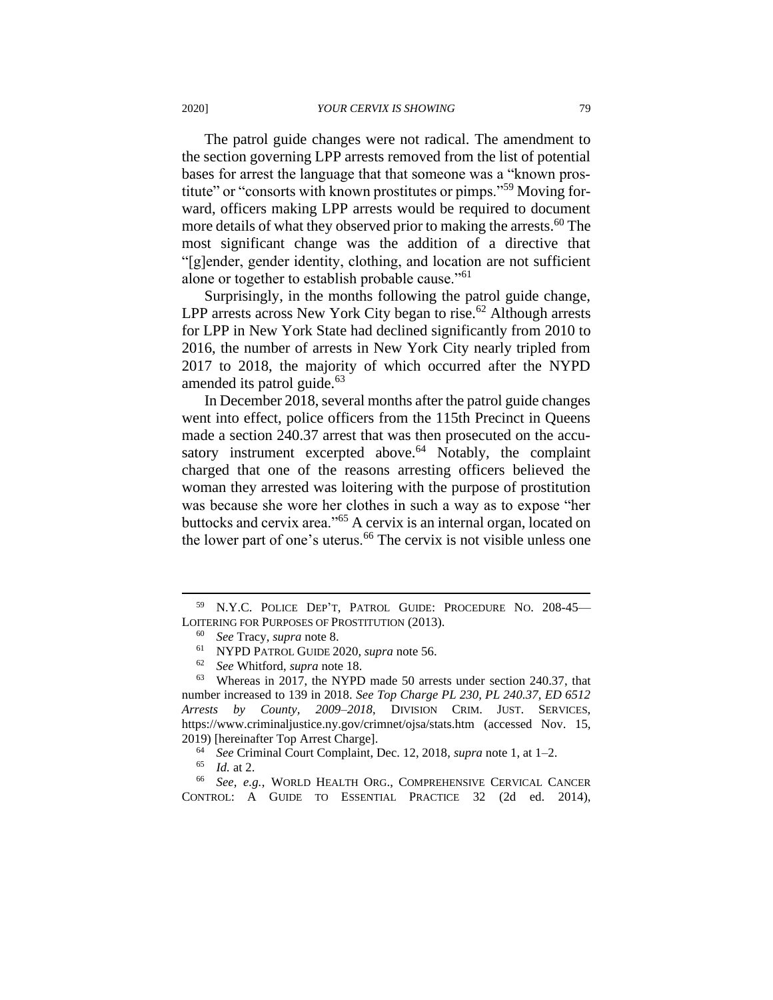The patrol guide changes were not radical. The amendment to the section governing LPP arrests removed from the list of potential bases for arrest the language that that someone was a "known prostitute" or "consorts with known prostitutes or pimps."<sup>59</sup> Moving forward, officers making LPP arrests would be required to document more details of what they observed prior to making the arrests.<sup>60</sup> The most significant change was the addition of a directive that "[g]ender, gender identity, clothing, and location are not sufficient alone or together to establish probable cause."<sup>61</sup>

Surprisingly, in the months following the patrol guide change, LPP arrests across New York City began to rise.<sup>62</sup> Although arrests for LPP in New York State had declined significantly from 2010 to 2016, the number of arrests in New York City nearly tripled from 2017 to 2018, the majority of which occurred after the NYPD amended its patrol guide.<sup>63</sup>

In December 2018, several months after the patrol guide changes went into effect, police officers from the 115th Precinct in Queens made a section 240.37 arrest that was then prosecuted on the accusatory instrument excerpted above. $64$  Notably, the complaint charged that one of the reasons arresting officers believed the woman they arrested was loitering with the purpose of prostitution was because she wore her clothes in such a way as to expose "her buttocks and cervix area."<sup>65</sup> A cervix is an internal organ, located on the lower part of one's uterus.<sup>66</sup> The cervix is not visible unless one

<sup>59</sup> N.Y.C. POLICE DEP'T, PATROL GUIDE: PROCEDURE NO. 208-45— LOITERING FOR PURPOSES OF PROSTITUTION (2013).

<sup>60</sup> *See* Tracy, *supra* note 8.

<sup>61</sup> NYPD PATROL GUIDE 2020, *supra* note 56.

<sup>62</sup> *See* Whitford, *supra* note 18.

<sup>63</sup> Whereas in 2017, the NYPD made 50 arrests under section 240.37, that number increased to 139 in 2018. *See Top Charge PL 230, PL 240.37, ED 6512 Arrests by County, 2009–2018*, DIVISION CRIM. JUST. SERVICES, <https://www.criminaljustice.ny.gov/crimnet/ojsa/stats.htm> (accessed Nov. 15, 2019) [hereinafter Top Arrest Charge].

<sup>&</sup>lt;sup>64</sup> *See* Criminal Court Complaint, Dec. 12, 2018, *supra* note 1, at 1–2.<br><sup>65</sup> *Id* at 2

*Id.* at 2.

<sup>66</sup> *See, e.g.*, WORLD HEALTH ORG., COMPREHENSIVE CERVICAL CANCER CONTROL: A GUIDE TO ESSENTIAL PRACTICE 32 (2d ed. 2014),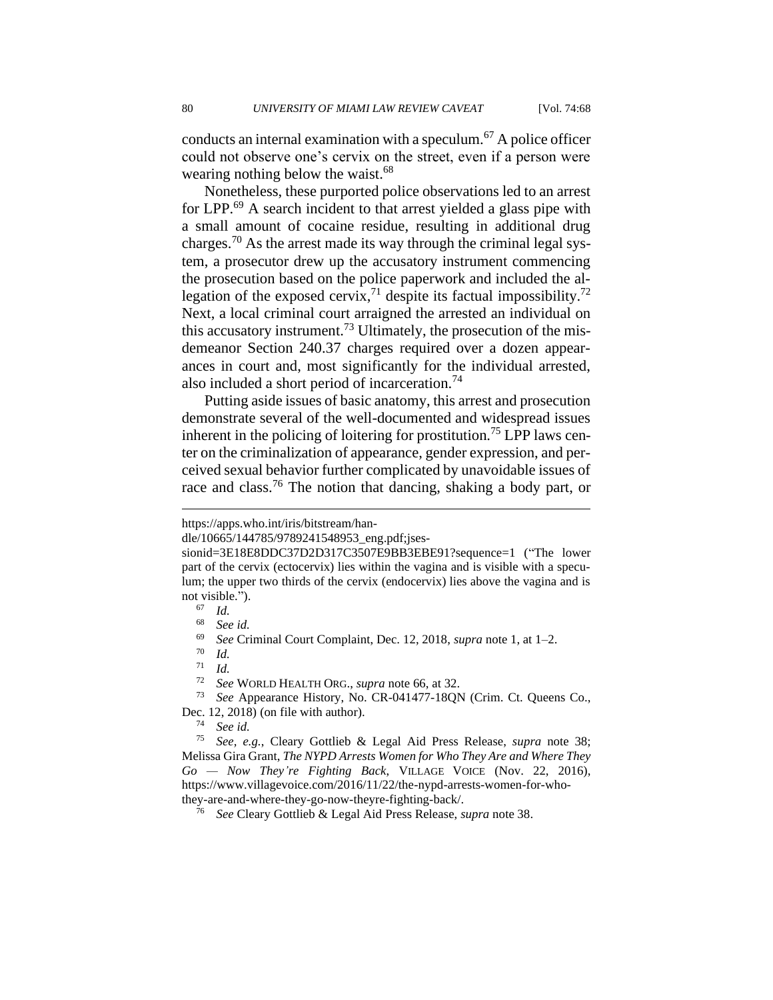conducts an internal examination with a speculum.<sup>67</sup> A police officer could not observe one's cervix on the street, even if a person were wearing nothing below the waist.<sup>68</sup>

Nonetheless, these purported police observations led to an arrest for LPP.<sup>69</sup> A search incident to that arrest yielded a glass pipe with a small amount of cocaine residue, resulting in additional drug charges.<sup>70</sup> As the arrest made its way through the criminal legal system, a prosecutor drew up the accusatory instrument commencing the prosecution based on the police paperwork and included the allegation of the exposed cervix,<sup>71</sup> despite its factual impossibility.<sup>72</sup> Next, a local criminal court arraigned the arrested an individual on this accusatory instrument.<sup>73</sup> Ultimately, the prosecution of the misdemeanor Section 240.37 charges required over a dozen appearances in court and, most significantly for the individual arrested, also included a short period of incarceration.<sup>74</sup>

Putting aside issues of basic anatomy, this arrest and prosecution demonstrate several of the well-documented and widespread issues inherent in the policing of loitering for prostitution.<sup>75</sup> LPP laws center on the criminalization of appearance, gender expression, and perceived sexual behavior further complicated by unavoidable issues of race and class.<sup>76</sup> The notion that dancing, shaking a body part, or

<sup>73</sup> *See* Appearance History, No. CR-041477-18QN (Crim. Ct. Queens Co., Dec. 12, 2018) (on file with author).

<sup>74</sup> *See id.*

https://apps.who.int/iris/bitstream/han-

dle/10665/144785/9789241548953\_eng.pdf;jses-

sionid=3E18E8DDC37D2D317C3507E9BB3EBE91?sequence=1 ("The lower part of the cervix (ectocervix) lies within the vagina and is visible with a speculum; the upper two thirds of the cervix (endocervix) lies above the vagina and is not visible.").

 $\frac{67}{68}$  *Id.* 

<sup>68</sup> *See id.*

<sup>69</sup> *See* Criminal Court Complaint, Dec. 12, 2018, *supra* note 1, at 1–2.

<sup>70</sup> *Id.*

 $rac{71}{72}$  *Id.* 

See WORLD HEALTH ORG., *supra* note 66, at 32.

<sup>75</sup> *See, e.g.*, Cleary Gottlieb & Legal Aid Press Release, *supra* note 38; Melissa Gira Grant, *The NYPD Arrests Women for Who They Are and Where They Go — Now They're Fighting Back*, VILLAGE VOICE (Nov. 22, 2016), https://www.villagevoice.com/2016/11/22/the-nypd-arrests-women-for-whothey-are-and-where-they-go-now-theyre-fighting-back/.

<sup>76</sup> *See* Cleary Gottlieb & Legal Aid Press Release, *supra* note 38.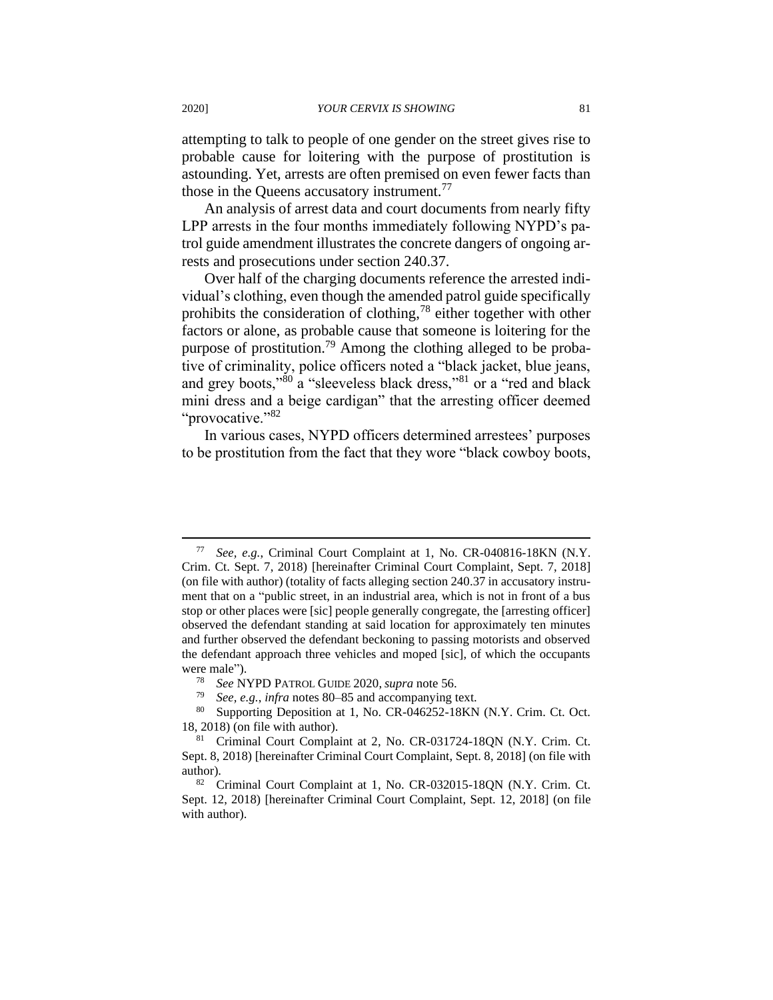attempting to talk to people of one gender on the street gives rise to probable cause for loitering with the purpose of prostitution is astounding. Yet, arrests are often premised on even fewer facts than those in the Queens accusatory instrument.<sup>77</sup>

An analysis of arrest data and court documents from nearly fifty LPP arrests in the four months immediately following NYPD's patrol guide amendment illustrates the concrete dangers of ongoing arrests and prosecutions under section 240.37.

Over half of the charging documents reference the arrested individual's clothing, even though the amended patrol guide specifically prohibits the consideration of clothing,<sup>78</sup> either together with other factors or alone, as probable cause that someone is loitering for the purpose of prostitution.<sup>79</sup> Among the clothing alleged to be probative of criminality, police officers noted a "black jacket, blue jeans, and grey boots,"<sup>80</sup> a "sleeveless black dress,"<sup>81</sup> or a "red and black mini dress and a beige cardigan" that the arresting officer deemed "provocative."<sup>82</sup>

In various cases, NYPD officers determined arrestees' purposes to be prostitution from the fact that they wore "black cowboy boots,

<sup>77</sup> *See, e.g.*, Criminal Court Complaint at 1, No. CR-040816-18KN (N.Y. Crim. Ct. Sept. 7, 2018) [hereinafter Criminal Court Complaint, Sept. 7, 2018] (on file with author) (totality of facts alleging section 240.37 in accusatory instrument that on a "public street, in an industrial area, which is not in front of a bus stop or other places were [sic] people generally congregate, the [arresting officer] observed the defendant standing at said location for approximately ten minutes and further observed the defendant beckoning to passing motorists and observed the defendant approach three vehicles and moped [sic], of which the occupants were male").<br> $\frac{78}{2}$  See N

<sup>78</sup> *See* NYPD PATROL GUIDE 2020, *supra* note 56.

See, e.g., *infra* notes 80–85 and accompanying text.

<sup>80</sup> Supporting Deposition at 1, No. CR-046252-18KN (N.Y. Crim. Ct. Oct. 18, 2018) (on file with author).

<sup>&</sup>lt;sup>81</sup> Criminal Court Complaint at 2, No. CR-031724-18QN (N.Y. Crim. Ct. Sept. 8, 2018) [hereinafter Criminal Court Complaint, Sept. 8, 2018] (on file with author).

<sup>&</sup>lt;sup>82</sup> Criminal Court Complaint at 1, No. CR-032015-18QN (N.Y. Crim. Ct. Sept. 12, 2018) [hereinafter Criminal Court Complaint, Sept. 12, 2018] (on file with author).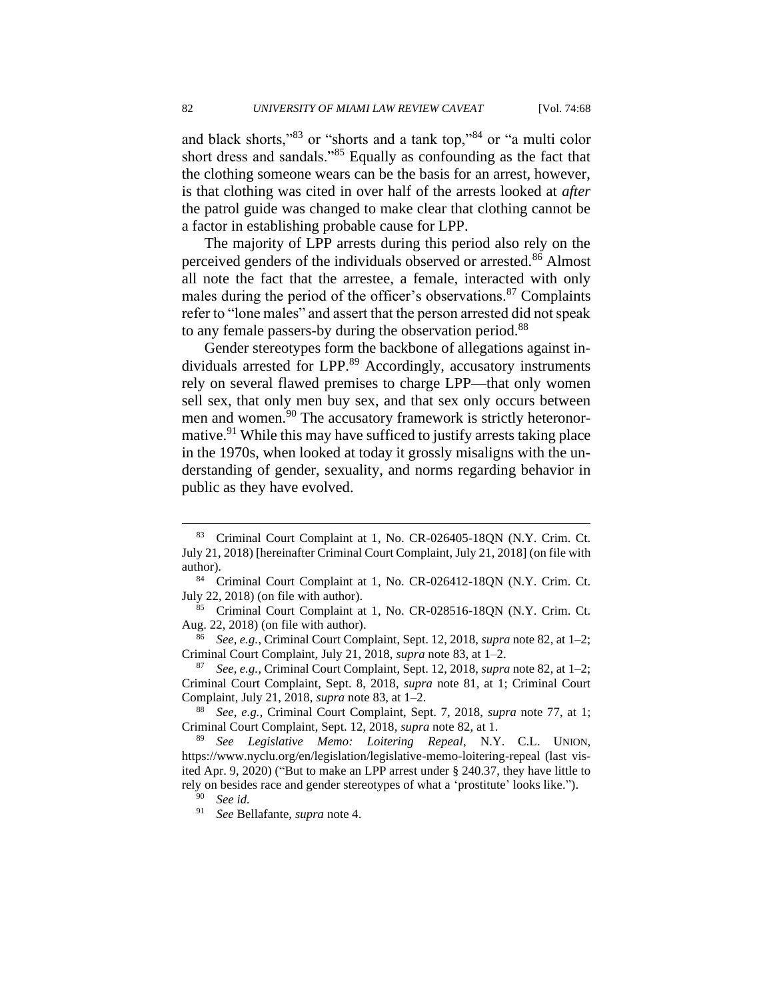and black shorts,"<sup>83</sup> or "shorts and a tank top,"<sup>84</sup> or "a multi color short dress and sandals."<sup>85</sup> Equally as confounding as the fact that the clothing someone wears can be the basis for an arrest, however, is that clothing was cited in over half of the arrests looked at *after* the patrol guide was changed to make clear that clothing cannot be a factor in establishing probable cause for LPP.

The majority of LPP arrests during this period also rely on the perceived genders of the individuals observed or arrested.<sup>86</sup> Almost all note the fact that the arrestee, a female, interacted with only males during the period of the officer's observations. $87$  Complaints refer to "lone males" and assert that the person arrested did not speak to any female passers-by during the observation period.<sup>88</sup>

Gender stereotypes form the backbone of allegations against individuals arrested for LPP.<sup>89</sup> Accordingly, accusatory instruments rely on several flawed premises to charge LPP—that only women sell sex, that only men buy sex, and that sex only occurs between men and women.<sup>90</sup> The accusatory framework is strictly heteronormative.<sup>91</sup> While this may have sufficed to justify arrests taking place in the 1970s, when looked at today it grossly misaligns with the understanding of gender, sexuality, and norms regarding behavior in public as they have evolved.

<sup>83</sup> Criminal Court Complaint at 1, No. CR-026405-18QN (N.Y. Crim. Ct. July 21, 2018) [hereinafter Criminal Court Complaint, July 21, 2018] (on file with author).

<sup>84</sup> Criminal Court Complaint at 1, No. CR-026412-18QN (N.Y. Crim. Ct. July 22, 2018) (on file with author).

<sup>85</sup> Criminal Court Complaint at 1, No. CR-028516-18QN (N.Y. Crim. Ct. Aug. 22, 2018) (on file with author).

<sup>86</sup> *See, e.g.*, Criminal Court Complaint, Sept. 12, 2018, *supra* note 82, at 1–2; Criminal Court Complaint, July 21, 2018, *supra* note 83, at 1–2.

<sup>87</sup> *See, e.g.*, Criminal Court Complaint, Sept. 12, 2018, *supra* note 82, at 1–2; Criminal Court Complaint, Sept. 8, 2018, *supra* note 81, at 1; Criminal Court Complaint, July 21, 2018, *supra* note 83, at 1–2.

<sup>88</sup> *See, e.g.*, Criminal Court Complaint, Sept. 7, 2018, *supra* note 77, at 1; Criminal Court Complaint, Sept. 12, 2018, *supra* note 82, at 1.

<sup>89</sup> *See Legislative Memo: Loitering Repeal*, N.Y. C.L. UNION, https://www.nyclu.org/en/legislation/legislative-memo-loitering-repeal (last visited Apr. 9, 2020) ("But to make an LPP arrest under § 240.37, they have little to rely on besides race and gender stereotypes of what a 'prostitute' looks like.").

<sup>90</sup> *See id.*

<sup>91</sup> *See* Bellafante, *supra* note 4.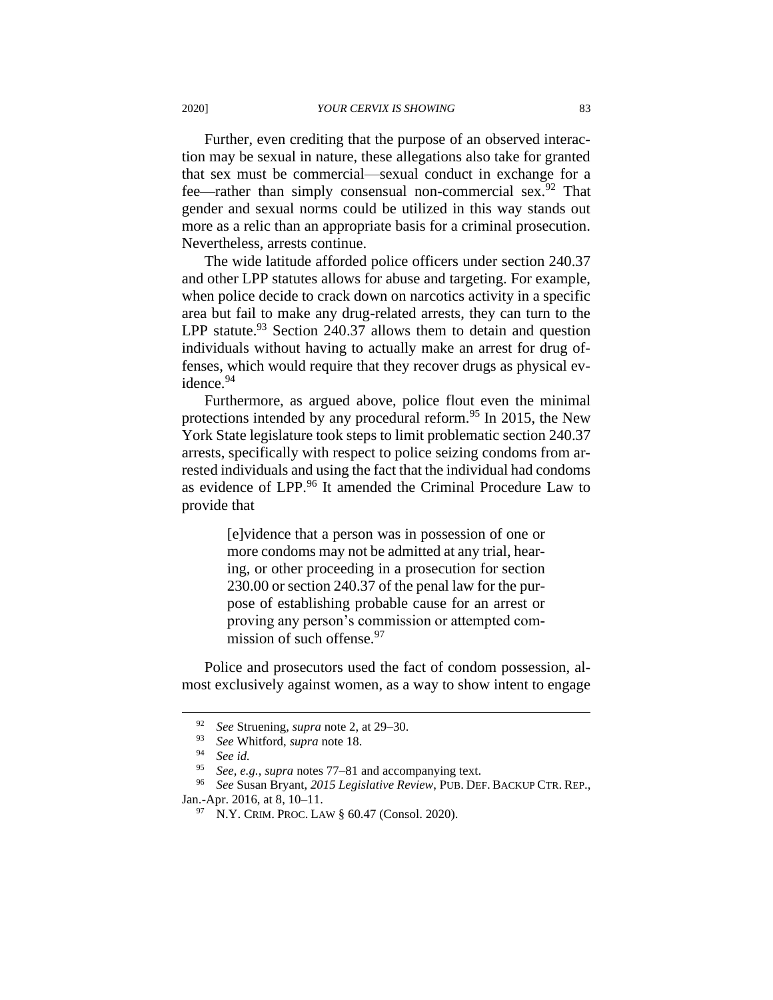Further, even crediting that the purpose of an observed interaction may be sexual in nature, these allegations also take for granted that sex must be commercial—sexual conduct in exchange for a fee—rather than simply consensual non-commercial sex.<sup>92</sup> That gender and sexual norms could be utilized in this way stands out more as a relic than an appropriate basis for a criminal prosecution. Nevertheless, arrests continue.

The wide latitude afforded police officers under section 240.37 and other LPP statutes allows for abuse and targeting. For example, when police decide to crack down on narcotics activity in a specific area but fail to make any drug-related arrests, they can turn to the LPP statute. $93$  Section 240.37 allows them to detain and question individuals without having to actually make an arrest for drug offenses, which would require that they recover drugs as physical evidence.<sup>94</sup>

Furthermore, as argued above, police flout even the minimal protections intended by any procedural reform.<sup>95</sup> In 2015, the New York State legislature took steps to limit problematic section 240.37 arrests, specifically with respect to police seizing condoms from arrested individuals and using the fact that the individual had condoms as evidence of LPP.<sup>96</sup> It amended the Criminal Procedure Law to provide that

> [e]vidence that a person was in possession of one or more condoms may not be admitted at any trial, hearing, or other proceeding in a prosecution for section 230.00 or section 240.37 of the penal law for the purpose of establishing probable cause for an arrest or proving any person's commission or attempted commission of such offense.<sup>97</sup>

Police and prosecutors used the fact of condom possession, almost exclusively against women, as a way to show intent to engage

<sup>92</sup> *See* Struening, *supra* note 2, at 29–30.

<sup>&</sup>lt;sup>93</sup> *See* Whitford, *supra* note 18.

<sup>94</sup> *See id.*

See, e.g., *supra* notes 77–81 and accompanying text.

<sup>96</sup> *See* Susan Bryant, *2015 Legislative Review*, PUB. DEF. BACKUP CTR. REP., Jan.-Apr. 2016, at 8, 10–11.

<sup>97</sup> N.Y. CRIM. PROC. LAW § 60.47 (Consol. 2020).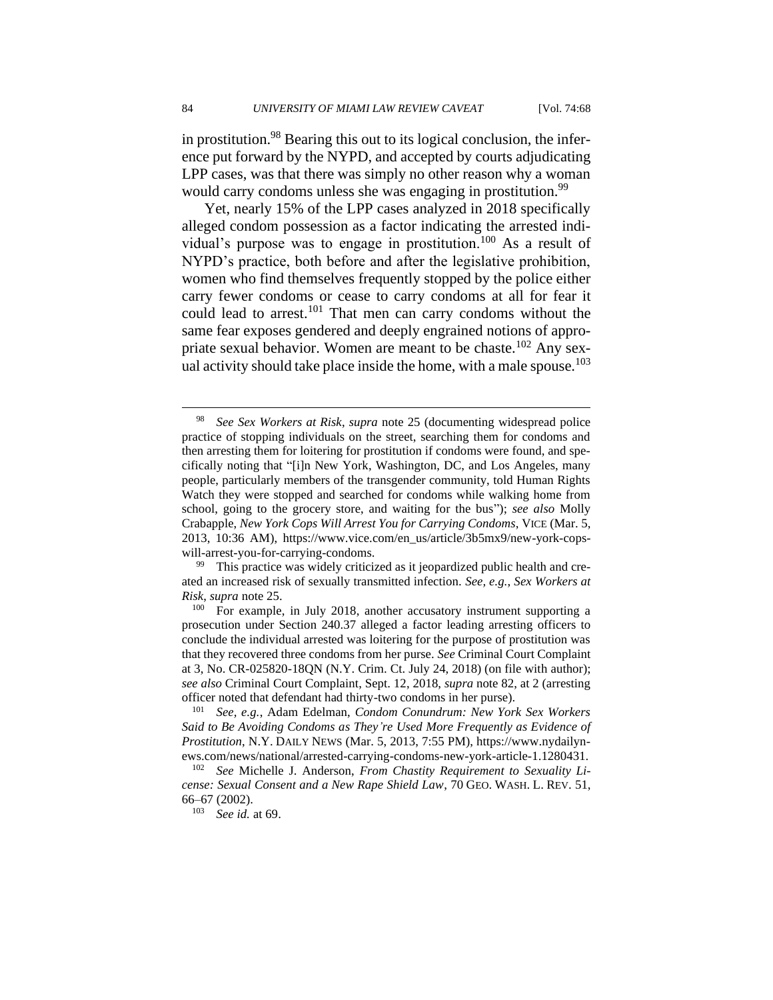in prostitution.<sup>98</sup> Bearing this out to its logical conclusion, the inference put forward by the NYPD, and accepted by courts adjudicating LPP cases, was that there was simply no other reason why a woman would carry condoms unless she was engaging in prostitution.<sup>99</sup>

Yet, nearly 15% of the LPP cases analyzed in 2018 specifically alleged condom possession as a factor indicating the arrested individual's purpose was to engage in prostitution.<sup>100</sup> As a result of NYPD's practice, both before and after the legislative prohibition, women who find themselves frequently stopped by the police either carry fewer condoms or cease to carry condoms at all for fear it could lead to arrest.<sup>101</sup> That men can carry condoms without the same fear exposes gendered and deeply engrained notions of appropriate sexual behavior. Women are meant to be chaste.<sup>102</sup> Any sexual activity should take place inside the home, with a male spouse.<sup>103</sup>

<sup>99</sup> This practice was widely criticized as it jeopardized public health and created an increased risk of sexually transmitted infection. *See, e.g.*, *Sex Workers at Risk*, *supra* note 25.

<sup>100</sup> For example, in July 2018, another accusatory instrument supporting a prosecution under Section 240.37 alleged a factor leading arresting officers to conclude the individual arrested was loitering for the purpose of prostitution was that they recovered three condoms from her purse. *See* Criminal Court Complaint at 3, No. CR-025820-18QN (N.Y. Crim. Ct. July 24, 2018) (on file with author); *see also* Criminal Court Complaint, Sept. 12, 2018, *supra* note 82, at 2 (arresting officer noted that defendant had thirty-two condoms in her purse).

<sup>101</sup> *See, e.g.*, Adam Edelman, *Condom Conundrum: New York Sex Workers Said to Be Avoiding Condoms as They're Used More Frequently as Evidence of Prostitution*, N.Y. DAILY NEWS (Mar. 5, 2013, 7:55 PM), https://www.nydailynews.com/news/national/arrested-carrying-condoms-new-york-article-1.1280431.

<sup>98</sup> *See Sex Workers at Risk*, *supra* note 25 (documenting widespread police practice of stopping individuals on the street, searching them for condoms and then arresting them for loitering for prostitution if condoms were found, and specifically noting that "[i]n New York, Washington, DC, and Los Angeles, many people, particularly members of the transgender community, told Human Rights Watch they were stopped and searched for condoms while walking home from school, going to the grocery store, and waiting for the bus"); *see also* Molly Crabapple, *New York Cops Will Arrest You for Carrying Condoms*, VICE (Mar. 5, 2013, 10:36 AM), https://www.vice.com/en\_us/article/3b5mx9/new-york-copswill-arrest-you-for-carrying-condoms.

See Michelle J. Anderson, *From Chastity Requirement to Sexuality License: Sexual Consent and a New Rape Shield Law*, 70 GEO. WASH. L. REV. 51, 66–67 (2002).

<sup>103</sup> *See id.* at 69.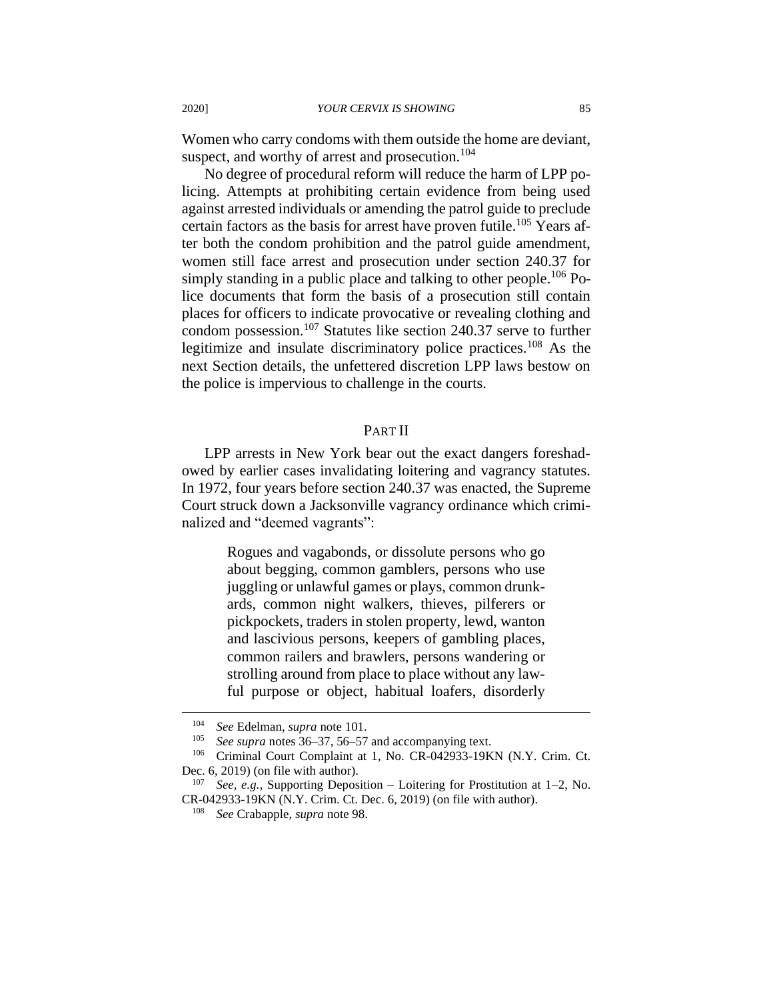Women who carry condoms with them outside the home are deviant, suspect, and worthy of arrest and prosecution.<sup>104</sup>

No degree of procedural reform will reduce the harm of LPP policing. Attempts at prohibiting certain evidence from being used against arrested individuals or amending the patrol guide to preclude certain factors as the basis for arrest have proven futile.<sup>105</sup> Years after both the condom prohibition and the patrol guide amendment, women still face arrest and prosecution under section 240.37 for simply standing in a public place and talking to other people.<sup>106</sup> Police documents that form the basis of a prosecution still contain places for officers to indicate provocative or revealing clothing and condom possession.<sup>107</sup> Statutes like section 240.37 serve to further legitimize and insulate discriminatory police practices.<sup>108</sup> As the next Section details, the unfettered discretion LPP laws bestow on the police is impervious to challenge in the courts.

## PART II

LPP arrests in New York bear out the exact dangers foreshadowed by earlier cases invalidating loitering and vagrancy statutes. In 1972, four years before section 240.37 was enacted, the Supreme Court struck down a Jacksonville vagrancy ordinance which criminalized and "deemed vagrants":

> Rogues and vagabonds, or dissolute persons who go about begging, common gamblers, persons who use juggling or unlawful games or plays, common drunkards, common night walkers, thieves, pilferers or pickpockets, traders in stolen property, lewd, wanton and lascivious persons, keepers of gambling places, common railers and brawlers, persons wandering or strolling around from place to place without any lawful purpose or object, habitual loafers, disorderly

<sup>104</sup> *See* Edelman, *supra* note 101.

<sup>105</sup> *See supra* notes 36–37, 56–57 and accompanying text.

<sup>&</sup>lt;sup>106</sup> Criminal Court Complaint at 1, No. CR-042933-19KN (N.Y. Crim. Ct. Dec. 6, 2019) (on file with author).

See, e.g., Supporting Deposition – Loitering for Prostitution at 1–2, No. CR-042933-19KN (N.Y. Crim. Ct. Dec. 6, 2019) (on file with author).

<sup>108</sup> *See* Crabapple, *supra* note 98.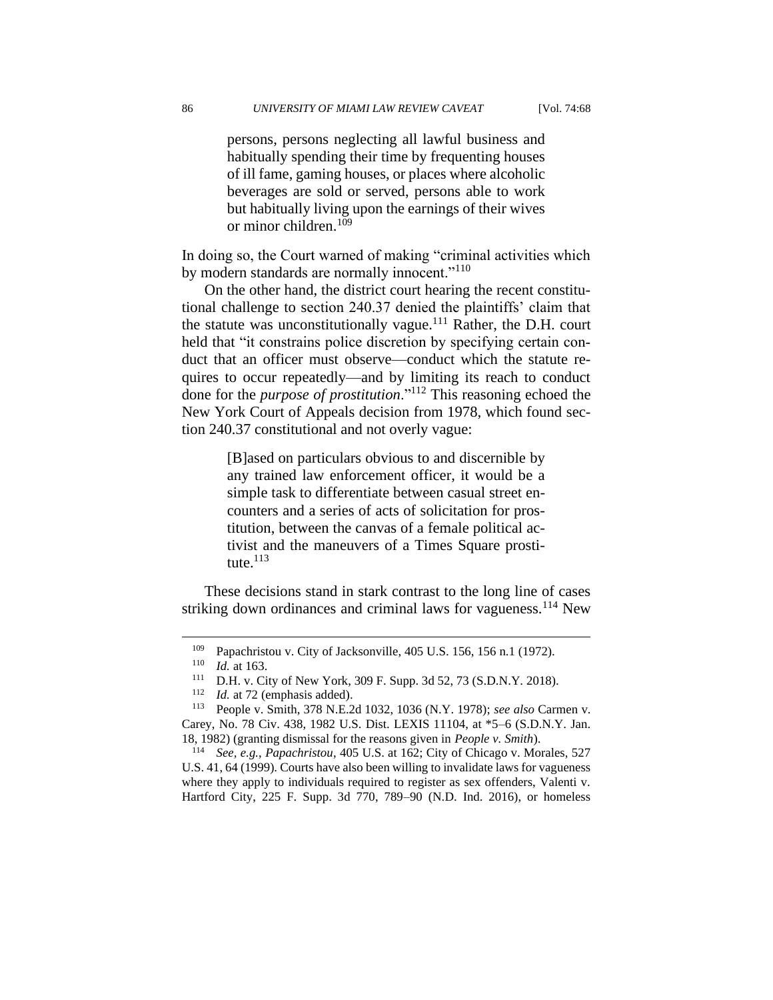persons, persons neglecting all lawful business and habitually spending their time by frequenting houses of ill fame, gaming houses, or places where alcoholic beverages are sold or served, persons able to work but habitually living upon the earnings of their wives or minor children.<sup>109</sup>

In doing so, the Court warned of making "criminal activities which by modern standards are normally innocent."<sup>110</sup>

On the other hand, the district court hearing the recent constitutional challenge to section 240.37 denied the plaintiffs' claim that the statute was unconstitutionally vague. $^{111}$  Rather, the D.H. court held that "it constrains police discretion by specifying certain conduct that an officer must observe—conduct which the statute requires to occur repeatedly—and by limiting its reach to conduct done for the *purpose of prostitution*."<sup>112</sup> This reasoning echoed the New York Court of Appeals decision from 1978, which found section 240.37 constitutional and not overly vague:

> [B]ased on particulars obvious to and discernible by any trained law enforcement officer, it would be a simple task to differentiate between casual street encounters and a series of acts of solicitation for prostitution, between the canvas of a female political activist and the maneuvers of a Times Square prostitute. $^{113}$

These decisions stand in stark contrast to the long line of cases striking down ordinances and criminal laws for vagueness.<sup>114</sup> New

<sup>109</sup> Papachristou v. City of Jacksonville, 405 U.S. 156, 156 n.1 (1972).

 $110$  *Id.* at 163.

<sup>&</sup>lt;sup>111</sup> D.H. v. City of New York, 309 F. Supp. 3d 52, 73 (S.D.N.Y. 2018).<br><sup>112</sup> Id at 72 (emphasis added)

Id. at 72 (emphasis added).

<sup>113</sup> People v. Smith, 378 N.E.2d 1032, 1036 (N.Y. 1978); *see also* Carmen v. Carey, No. 78 Civ. 438, 1982 U.S. Dist. LEXIS 11104, at \*5–6 (S.D.N.Y. Jan. 18, 1982) (granting dismissal for the reasons given in *People v. Smith*).

<sup>114</sup> *See, e.g.*, *Papachristou*, 405 U.S. at 162; City of Chicago v. Morales, 527 U.S. 41, 64 (1999). Courts have also been willing to invalidate laws for vagueness where they apply to individuals required to register as sex offenders, Valenti v. Hartford City, 225 F. Supp. 3d 770, 789–90 (N.D. Ind. 2016), or homeless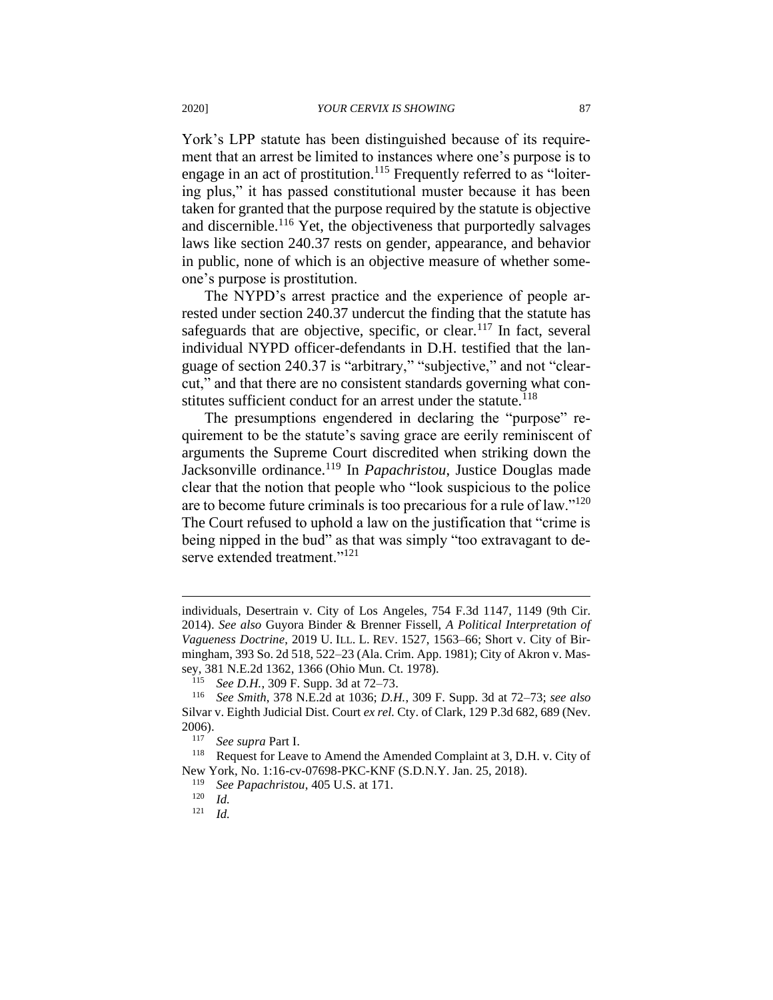York's LPP statute has been distinguished because of its requirement that an arrest be limited to instances where one's purpose is to engage in an act of prostitution.<sup>115</sup> Frequently referred to as "loitering plus," it has passed constitutional muster because it has been taken for granted that the purpose required by the statute is objective and discernible.<sup>116</sup> Yet, the objectiveness that purportedly salvages laws like section 240.37 rests on gender, appearance, and behavior in public, none of which is an objective measure of whether someone's purpose is prostitution.

The NYPD's arrest practice and the experience of people arrested under section 240.37 undercut the finding that the statute has safeguards that are objective, specific, or clear.<sup>117</sup> In fact, several individual NYPD officer-defendants in D.H. testified that the language of section 240.37 is "arbitrary," "subjective," and not "clearcut," and that there are no consistent standards governing what constitutes sufficient conduct for an arrest under the statute.<sup>118</sup>

The presumptions engendered in declaring the "purpose" requirement to be the statute's saving grace are eerily reminiscent of arguments the Supreme Court discredited when striking down the Jacksonville ordinance.<sup>119</sup> In *Papachristou*, Justice Douglas made clear that the notion that people who "look suspicious to the police are to become future criminals is too precarious for a rule of law."<sup>120</sup> The Court refused to uphold a law on the justification that "crime is being nipped in the bud" as that was simply "too extravagant to deserve extended treatment."<sup>121</sup>

individuals, Desertrain v. City of Los Angeles, 754 F.3d 1147, 1149 (9th Cir. 2014). *See also* Guyora Binder & Brenner Fissell, *A Political Interpretation of Vagueness Doctrine*, 2019 U. ILL. L. REV. 1527, 1563–66; Short v. City of Birmingham, 393 So. 2d 518, 522–23 (Ala. Crim. App. 1981); City of Akron v. Massey, 381 N.E.2d 1362, 1366 (Ohio Mun. Ct. 1978).

See *D.H.*, 309 F. Supp. 3d at 72–73.

<sup>116</sup> *See Smith*, 378 N.E.2d at 1036; *D.H.*, 309 F. Supp. 3d at 72–73; *see also*  Silvar v. Eighth Judicial Dist. Court *ex rel.* Cty. of Clark, 129 P.3d 682, 689 (Nev. 2006).

<sup>117</sup> *See supra* Part I.

<sup>&</sup>lt;sup>118</sup> Request for Leave to Amend the Amended Complaint at 3, D.H. v. City of New York, No. 1:16-cv-07698-PKC-KNF (S.D.N.Y. Jan. 25, 2018).

<sup>119</sup> *See Papachristou*, 405 U.S. at 171.

 $\frac{120}{121}$  *Id.* 

*Id.*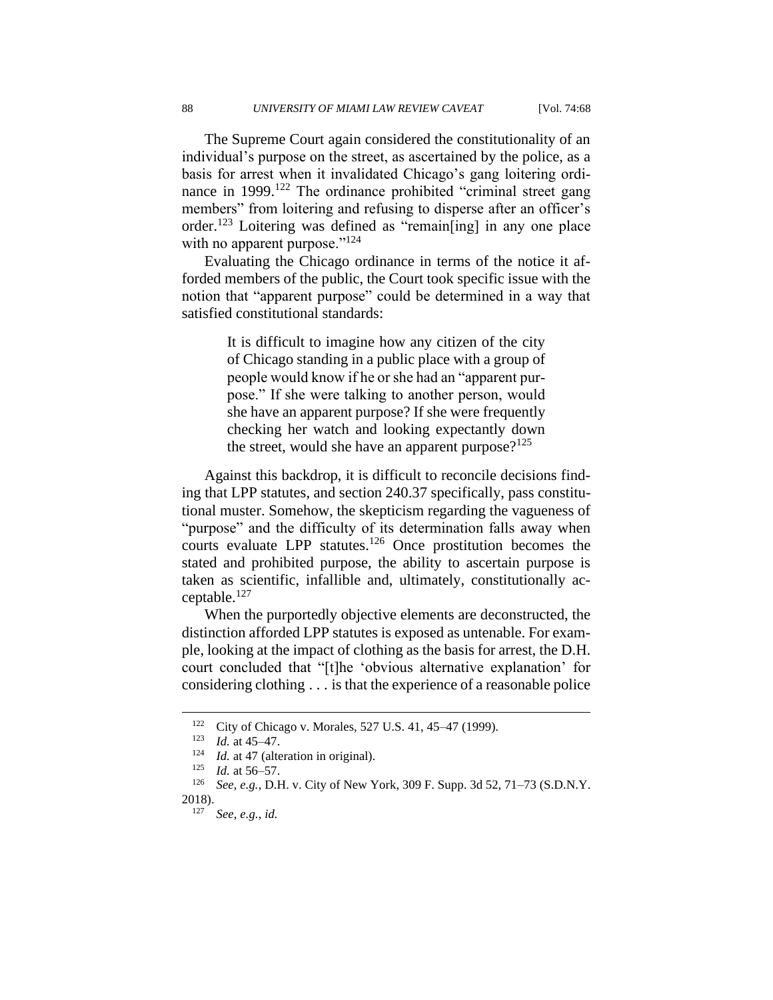The Supreme Court again considered the constitutionality of an individual's purpose on the street, as ascertained by the police, as a basis for arrest when it invalidated Chicago's gang loitering ordinance in 1999.<sup>122</sup> The ordinance prohibited "criminal street gang members" from loitering and refusing to disperse after an officer's order.<sup>123</sup> Loitering was defined as "remain[ing] in any one place with no apparent purpose." $124$ 

Evaluating the Chicago ordinance in terms of the notice it afforded members of the public, the Court took specific issue with the notion that "apparent purpose" could be determined in a way that satisfied constitutional standards:

> It is difficult to imagine how any citizen of the city of Chicago standing in a public place with a group of people would know if he or she had an "apparent purpose." If she were talking to another person, would she have an apparent purpose? If she were frequently checking her watch and looking expectantly down the street, would she have an apparent purpose? $125$

Against this backdrop, it is difficult to reconcile decisions finding that LPP statutes, and section 240.37 specifically, pass constitutional muster. Somehow, the skepticism regarding the vagueness of "purpose" and the difficulty of its determination falls away when courts evaluate LPP statutes.<sup>126</sup> Once prostitution becomes the stated and prohibited purpose, the ability to ascertain purpose is taken as scientific, infallible and, ultimately, constitutionally acceptable.<sup>127</sup>

When the purportedly objective elements are deconstructed, the distinction afforded LPP statutes is exposed as untenable. For example, looking at the impact of clothing as the basis for arrest, the D.H. court concluded that "[t]he 'obvious alternative explanation' for considering clothing . . . is that the experience of a reasonable police

<sup>122</sup> City of Chicago v. Morales, 527 U.S. 41, 45–47 (1999).

<sup>123</sup> *Id.* at 45–47.

<sup>&</sup>lt;sup>124</sup> *Id.* at 47 (alteration in original).<br><sup>125</sup> *Id.* at 56,57

*Id.* at 56–57.

<sup>126</sup> *See, e.g.*, D.H. v. City of New York, 309 F. Supp. 3d 52, 71–73 (S.D.N.Y.  $2018$ ).

<sup>127</sup> *See, e.g.*, *id.*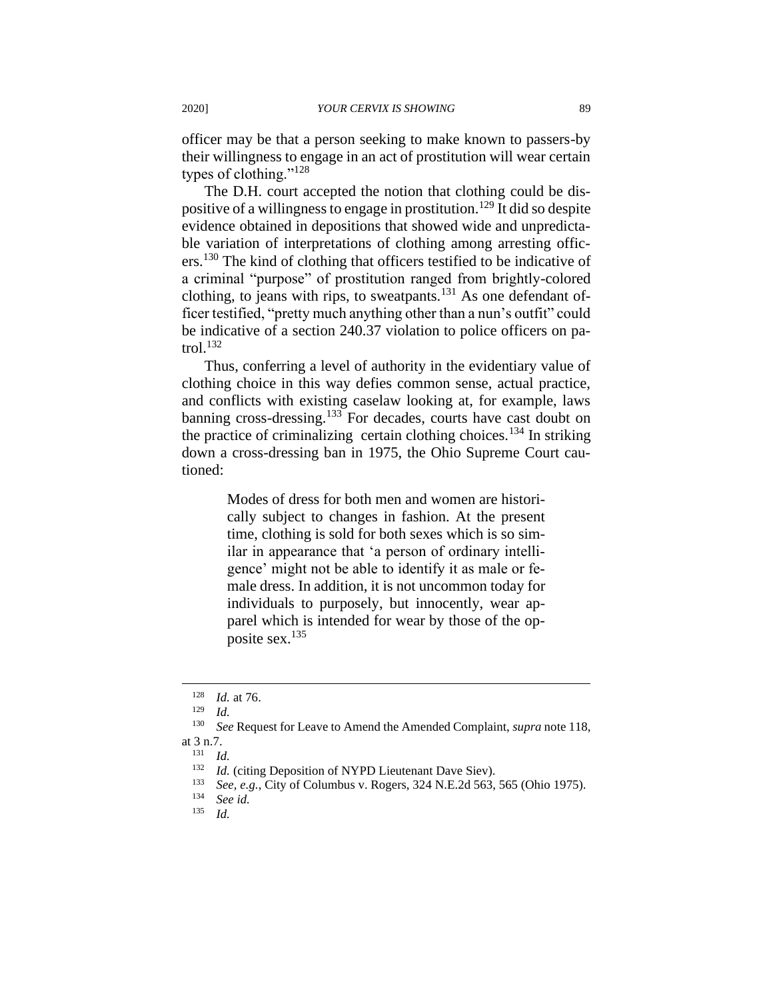officer may be that a person seeking to make known to passers-by their willingness to engage in an act of prostitution will wear certain types of clothing." $^{128}$ 

The D.H. court accepted the notion that clothing could be dispositive of a willingness to engage in prostitution.<sup>129</sup> It did so despite evidence obtained in depositions that showed wide and unpredictable variation of interpretations of clothing among arresting officers.<sup>130</sup> The kind of clothing that officers testified to be indicative of a criminal "purpose" of prostitution ranged from brightly-colored clothing, to jeans with rips, to sweatpants.<sup>131</sup> As one defendant officer testified, "pretty much anything other than a nun's outfit" could be indicative of a section 240.37 violation to police officers on patrol. $^{132}$ 

Thus, conferring a level of authority in the evidentiary value of clothing choice in this way defies common sense, actual practice, and conflicts with existing caselaw looking at, for example, laws banning cross-dressing.<sup>133</sup> For decades, courts have cast doubt on the practice of criminalizing certain clothing choices.<sup>134</sup> In striking down a cross-dressing ban in 1975, the Ohio Supreme Court cautioned:

> Modes of dress for both men and women are historically subject to changes in fashion. At the present time, clothing is sold for both sexes which is so similar in appearance that 'a person of ordinary intelligence' might not be able to identify it as male or female dress. In addition, it is not uncommon today for individuals to purposely, but innocently, wear apparel which is intended for wear by those of the opposite sex.<sup>135</sup>

 $\frac{128}{129}$  *Id.* at 76.

 $\frac{129}{130}$  *Id.* 

See Request for Leave to Amend the Amended Complaint, *supra* note 118, at 3 n.7.

 $\frac{131}{132}$  *Id.* 

<sup>&</sup>lt;sup>132</sup> *Id.* (citing Deposition of NYPD Lieutenant Dave Siev).<br><sup>133</sup> See a.g. City of Columbus v. Bosors, 224 N E 2d 562.

<sup>&</sup>lt;sup>133</sup> *See, e.g.*, City of Columbus v. Rogers, 324 N.E.2d 563, 565 (Ohio 1975).<br><sup>134</sup> Seg id

<sup>134</sup> *See id.*

*Id.*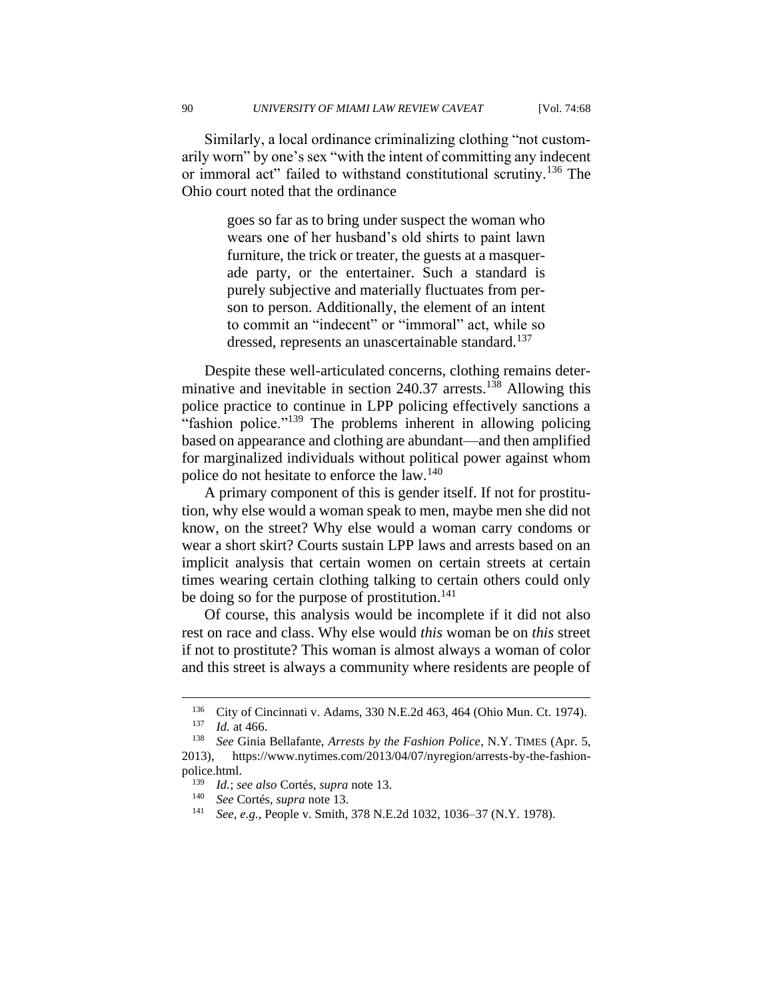Similarly, a local ordinance criminalizing clothing "not customarily worn" by one's sex "with the intent of committing any indecent or immoral act" failed to withstand constitutional scrutiny.<sup>136</sup> The Ohio court noted that the ordinance

> goes so far as to bring under suspect the woman who wears one of her husband's old shirts to paint lawn furniture, the trick or treater, the guests at a masquerade party, or the entertainer. Such a standard is purely subjective and materially fluctuates from person to person. Additionally, the element of an intent to commit an "indecent" or "immoral" act, while so dressed, represents an unascertainable standard.<sup>137</sup>

Despite these well-articulated concerns, clothing remains determinative and inevitable in section  $240.37$  arrests.<sup>138</sup> Allowing this police practice to continue in LPP policing effectively sanctions a "fashion police."<sup>139</sup> The problems inherent in allowing policing based on appearance and clothing are abundant—and then amplified for marginalized individuals without political power against whom police do not hesitate to enforce the law.<sup>140</sup>

A primary component of this is gender itself. If not for prostitution, why else would a woman speak to men, maybe men she did not know, on the street? Why else would a woman carry condoms or wear a short skirt? Courts sustain LPP laws and arrests based on an implicit analysis that certain women on certain streets at certain times wearing certain clothing talking to certain others could only be doing so for the purpose of prostitution.<sup>141</sup>

Of course, this analysis would be incomplete if it did not also rest on race and class. Why else would *this* woman be on *this* street if not to prostitute? This woman is almost always a woman of color and this street is always a community where residents are people of

<sup>&</sup>lt;sup>136</sup> City of Cincinnati v. Adams, 330 N.E.2d 463, 464 (Ohio Mun. Ct. 1974).

*Id.* at 466.

<sup>138</sup> *See* Ginia Bellafante, *Arrests by the Fashion Police*, N.Y. TIMES (Apr. 5, 2013), https://www.nytimes.com/2013/04/07/nyregion/arrests-by-the-fashionpolice.html.

<sup>139</sup> *Id.*; *see also* Cortés, *supra* note 13.

<sup>140</sup> *See* Cortés, *supra* note 13.

See, e.g., People v. Smith, 378 N.E.2d 1032, 1036–37 (N.Y. 1978).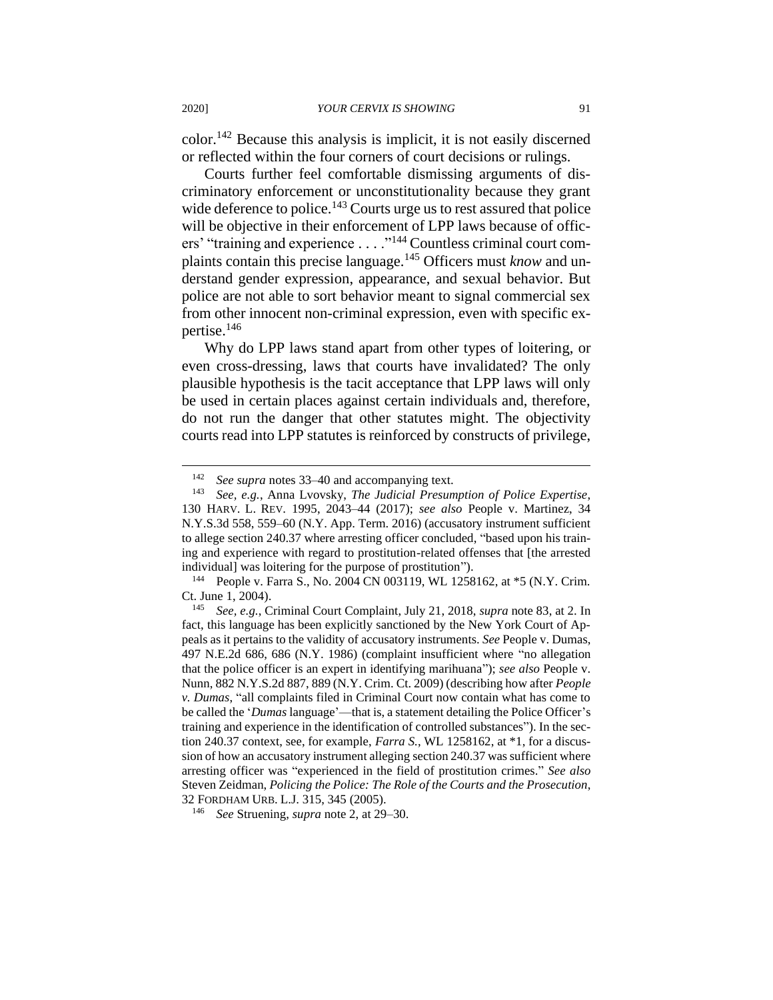color.<sup>142</sup> Because this analysis is implicit, it is not easily discerned or reflected within the four corners of court decisions or rulings.

Courts further feel comfortable dismissing arguments of discriminatory enforcement or unconstitutionality because they grant wide deference to police.<sup>143</sup> Courts urge us to rest assured that police will be objective in their enforcement of LPP laws because of officers' "training and experience . . . ."<sup>144</sup> Countless criminal court complaints contain this precise language.<sup>145</sup> Officers must *know* and understand gender expression, appearance, and sexual behavior. But police are not able to sort behavior meant to signal commercial sex from other innocent non-criminal expression, even with specific expertise.<sup>146</sup>

Why do LPP laws stand apart from other types of loitering, or even cross-dressing, laws that courts have invalidated? The only plausible hypothesis is the tacit acceptance that LPP laws will only be used in certain places against certain individuals and, therefore, do not run the danger that other statutes might. The objectivity courts read into LPP statutes is reinforced by constructs of privilege,

<sup>&</sup>lt;sup>142</sup> *See supra* notes 33–40 and accompanying text.<br><sup>143</sup> *See e g* Anna Lyoysky *The Judicial Presun* 

<sup>143</sup> *See, e.g.*, Anna Lvovsky, *The Judicial Presumption of Police Expertise*, 130 HARV. L. REV. 1995, 2043–44 (2017); *see also* People v. Martinez, 34 N.Y.S.3d 558, 559–60 (N.Y. App. Term. 2016) (accusatory instrument sufficient to allege section 240.37 where arresting officer concluded, "based upon his training and experience with regard to prostitution-related offenses that [the arrested individual] was loitering for the purpose of prostitution").

<sup>144</sup> People v. Farra S., No. 2004 CN 003119, WL 1258162, at \*5 (N.Y. Crim. Ct. June 1, 2004).

<sup>145</sup> *See, e.g.*, Criminal Court Complaint, July 21, 2018, *supra* note 83, at 2. In fact, this language has been explicitly sanctioned by the New York Court of Appeals as it pertains to the validity of accusatory instruments. *See* People v. Dumas, 497 N.E.2d 686, 686 (N.Y. 1986) (complaint insufficient where "no allegation that the police officer is an expert in identifying marihuana"); *see also* People v. Nunn, 882 N.Y.S.2d 887, 889 (N.Y. Crim. Ct. 2009) (describing how after *People v. Dumas*, "all complaints filed in Criminal Court now contain what has come to be called the '*Dumas* language'—that is, a statement detailing the Police Officer's training and experience in the identification of controlled substances"). In the section 240.37 context, see, for example, *Farra S.*, WL 1258162, at \*1, for a discussion of how an accusatory instrument alleging section 240.37 was sufficient where arresting officer was "experienced in the field of prostitution crimes." *See also*  Steven Zeidman, *Policing the Police: The Role of the Courts and the Prosecution*, 32 FORDHAM URB. L.J. 315, 345 (2005).

<sup>146</sup> *See* Struening, *supra* note 2, at 29–30.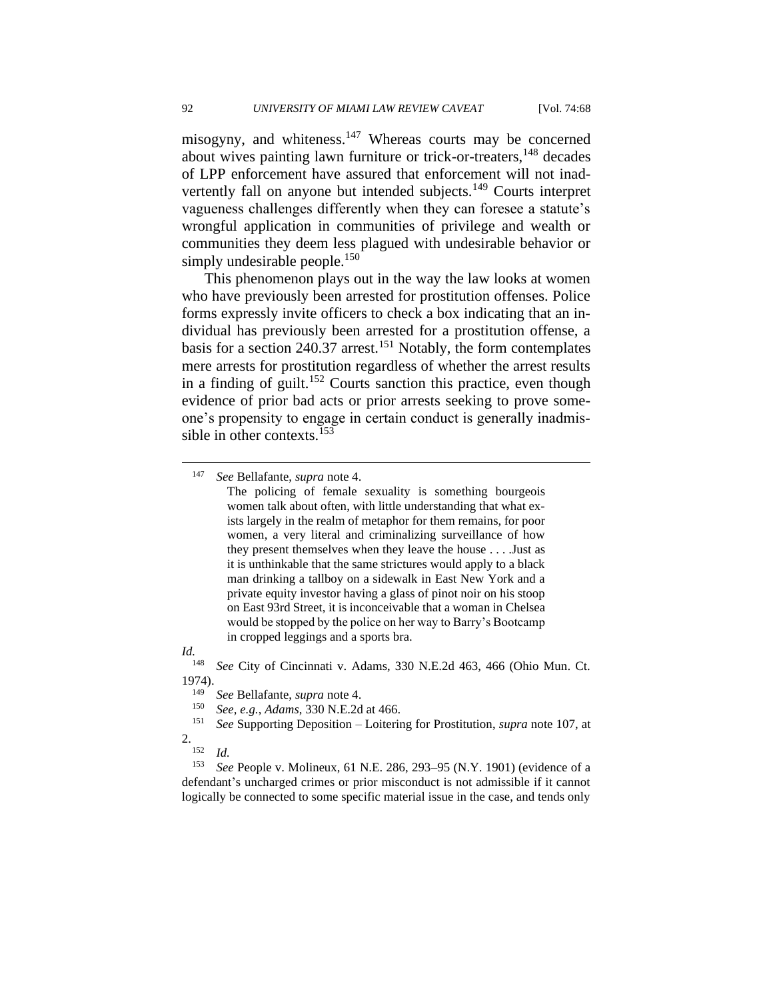misogyny, and whiteness.<sup>147</sup> Whereas courts may be concerned about wives painting lawn furniture or trick-or-treaters,<sup>148</sup> decades of LPP enforcement have assured that enforcement will not inadvertently fall on anyone but intended subjects.<sup>149</sup> Courts interpret vagueness challenges differently when they can foresee a statute's wrongful application in communities of privilege and wealth or communities they deem less plagued with undesirable behavior or simply undesirable people.<sup>150</sup>

This phenomenon plays out in the way the law looks at women who have previously been arrested for prostitution offenses. Police forms expressly invite officers to check a box indicating that an individual has previously been arrested for a prostitution offense, a basis for a section 240.37 arrest.<sup>151</sup> Notably, the form contemplates mere arrests for prostitution regardless of whether the arrest results in a finding of guilt.<sup>152</sup> Courts sanction this practice, even though evidence of prior bad acts or prior arrests seeking to prove someone's propensity to engage in certain conduct is generally inadmissible in other contexts.<sup>153</sup>

#### *Id.*

<sup>148</sup> *See* City of Cincinnati v. Adams, 330 N.E.2d 463, 466 (Ohio Mun. Ct. 1974).

- <sup>149</sup> *See* Bellafante, *supra* note 4.
- <sup>150</sup> *See, e.g.*, *Adams*, 330 N.E.2d at 466.
- <sup>151</sup> *See* Supporting Deposition Loitering for Prostitution, *supra* note 107, at 2.

<sup>147</sup> *See* Bellafante, *supra* note 4.

The policing of female sexuality is something bourgeois women talk about often, with little understanding that what exists largely in the realm of metaphor for them remains, for poor women, a very literal and criminalizing surveillance of how they present themselves when they leave the house . . . .Just as it is unthinkable that the same strictures would apply to a black man drinking a tallboy on a sidewalk in East New York and a private equity investor having a glass of pinot noir on his stoop on East 93rd Street, it is inconceivable that a woman in Chelsea would be stopped by the police on her way to Barry's Bootcamp in cropped leggings and a sports bra.

 $\frac{152}{153}$  *Id.* 

See People v. Molineux, 61 N.E. 286, 293-95 (N.Y. 1901) (evidence of a defendant's uncharged crimes or prior misconduct is not admissible if it cannot logically be connected to some specific material issue in the case, and tends only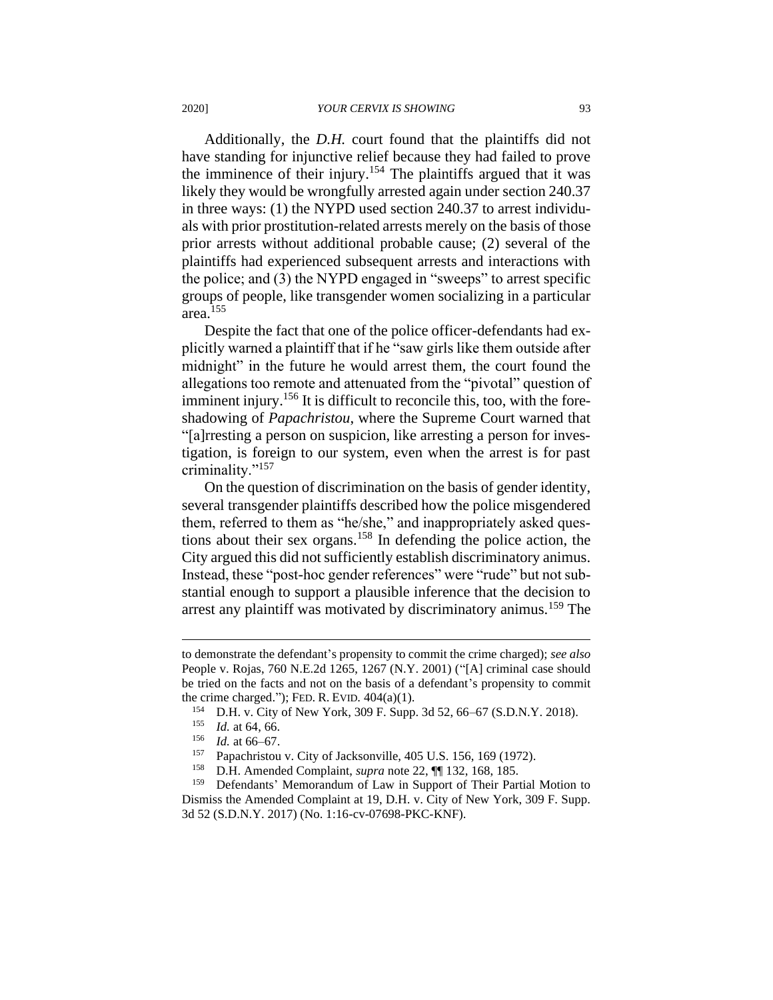Additionally, the *D.H.* court found that the plaintiffs did not have standing for injunctive relief because they had failed to prove the imminence of their injury.<sup>154</sup> The plaintiffs argued that it was likely they would be wrongfully arrested again under section 240.37 in three ways: (1) the NYPD used section 240.37 to arrest individuals with prior prostitution-related arrests merely on the basis of those prior arrests without additional probable cause; (2) several of the plaintiffs had experienced subsequent arrests and interactions with the police; and (3) the NYPD engaged in "sweeps" to arrest specific groups of people, like transgender women socializing in a particular area.<sup>155</sup>

Despite the fact that one of the police officer-defendants had explicitly warned a plaintiff that if he "saw girls like them outside after midnight" in the future he would arrest them, the court found the allegations too remote and attenuated from the "pivotal" question of imminent injury.<sup>156</sup> It is difficult to reconcile this, too, with the foreshadowing of *Papachristou*, where the Supreme Court warned that "[a]rresting a person on suspicion, like arresting a person for investigation, is foreign to our system, even when the arrest is for past criminality."<sup>157</sup>

On the question of discrimination on the basis of gender identity, several transgender plaintiffs described how the police misgendered them, referred to them as "he/she," and inappropriately asked questions about their sex organs.<sup>158</sup> In defending the police action, the City argued this did not sufficiently establish discriminatory animus. Instead, these "post-hoc gender references" were "rude" but not substantial enough to support a plausible inference that the decision to arrest any plaintiff was motivated by discriminatory animus.<sup>159</sup> The

to demonstrate the defendant's propensity to commit the crime charged); *see also*  People v. Rojas, 760 N.E.2d 1265, 1267 (N.Y. 2001) ("[A] criminal case should be tried on the facts and not on the basis of a defendant's propensity to commit the crime charged."); FED. R. EVID.  $404(a)(1)$ .

<sup>&</sup>lt;sup>154</sup> D.H. v. City of New York, 309 F. Supp. 3d 52, 66–67 (S.D.N.Y. 2018).<br><sup>155</sup> Id. at 64, 66

*Id.* at 64, 66.

<sup>156</sup> *Id.* at 66–67.

<sup>&</sup>lt;sup>157</sup> Papachristou v. City of Jacksonville,  $405$  U.S. 156, 169 (1972).<br><sup>158</sup> D.H. Amended Complaint, sunga pote 22. **161** 132, 168, 185

<sup>158</sup> D.H. Amended Complaint, *supra* note 22, ¶¶ 132, 168, 185.

<sup>&</sup>lt;sup>159</sup> Defendants' Memorandum of Law in Support of Their Partial Motion to Dismiss the Amended Complaint at 19, D.H. v. City of New York, 309 F. Supp. 3d 52 (S.D.N.Y. 2017) (No. 1:16-cv-07698-PKC-KNF).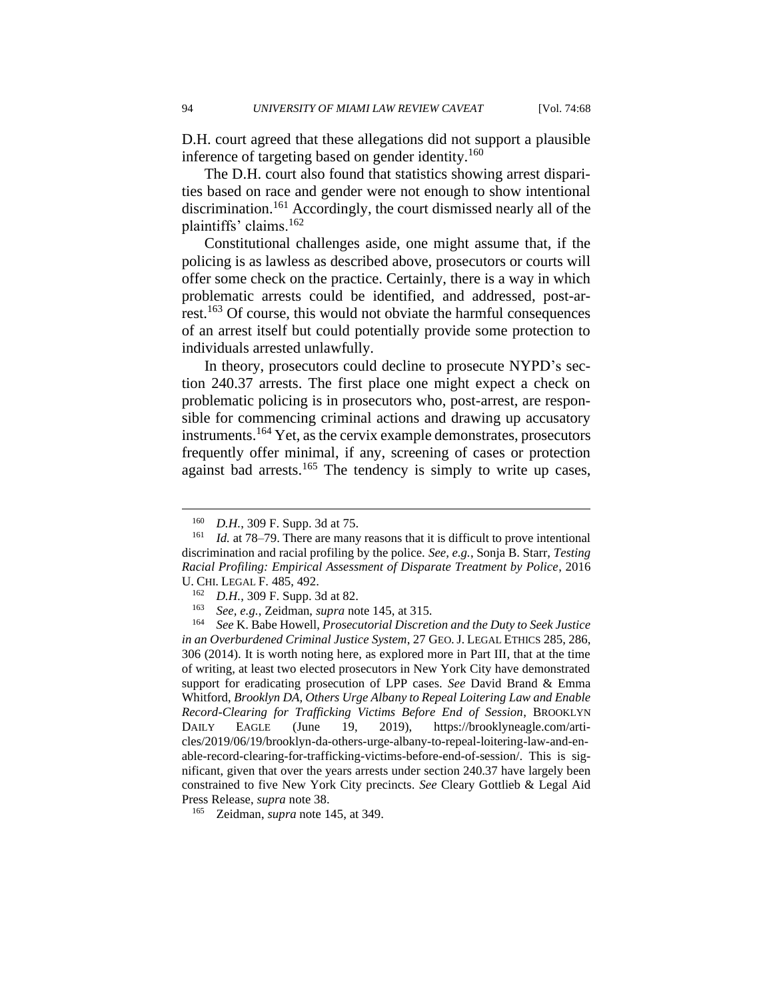D.H. court agreed that these allegations did not support a plausible inference of targeting based on gender identity.<sup>160</sup>

The D.H. court also found that statistics showing arrest disparities based on race and gender were not enough to show intentional discrimination.<sup>161</sup> Accordingly, the court dismissed nearly all of the plaintiffs' claims.<sup>162</sup>

Constitutional challenges aside, one might assume that, if the policing is as lawless as described above, prosecutors or courts will offer some check on the practice. Certainly, there is a way in which problematic arrests could be identified, and addressed, post-arrest.<sup>163</sup> Of course, this would not obviate the harmful consequences of an arrest itself but could potentially provide some protection to individuals arrested unlawfully.

In theory, prosecutors could decline to prosecute NYPD's section 240.37 arrests. The first place one might expect a check on problematic policing is in prosecutors who, post-arrest, are responsible for commencing criminal actions and drawing up accusatory instruments.<sup>164</sup> Yet, as the cervix example demonstrates, prosecutors frequently offer minimal, if any, screening of cases or protection against bad arrests.<sup>165</sup> The tendency is simply to write up cases,

<sup>160</sup> *D.H.*, 309 F. Supp. 3d at 75.

<sup>&</sup>lt;sup>161</sup> *Id.* at 78–79. There are many reasons that it is difficult to prove intentional discrimination and racial profiling by the police. *See, e.g.*, Sonja B. Starr, *Testing Racial Profiling: Empirical Assessment of Disparate Treatment by Police*, 2016 U. CHI. LEGAL F. 485, 492.

*D.H.*, 309 F. Supp. 3d at 82.

<sup>163</sup> *See, e.g.*, Zeidman, *supra* note 145, at 315.

<sup>164</sup> *See* K. Babe Howell, *Prosecutorial Discretion and the Duty to Seek Justice in an Overburdened Criminal Justice System*, 27 GEO.J. LEGAL ETHICS 285, 286, 306 (2014). It is worth noting here, as explored more in Part III, that at the time of writing, at least two elected prosecutors in New York City have demonstrated support for eradicating prosecution of LPP cases. *See* David Brand & Emma Whitford, *Brooklyn DA, Others Urge Albany to Repeal Loitering Law and Enable Record-Clearing for Trafficking Victims Before End of Session*, BROOKLYN DAILY EAGLE (June 19, 2019), https://brooklyneagle.com/articles/2019/06/19/brooklyn-da-others-urge-albany-to-repeal-loitering-law-and-enable-record-clearing-for-trafficking-victims-before-end-of-session/. This is significant, given that over the years arrests under section 240.37 have largely been constrained to five New York City precincts. *See* Cleary Gottlieb & Legal Aid Press Release, *supra* note 38.

<sup>165</sup> Zeidman, *supra* note 145, at 349.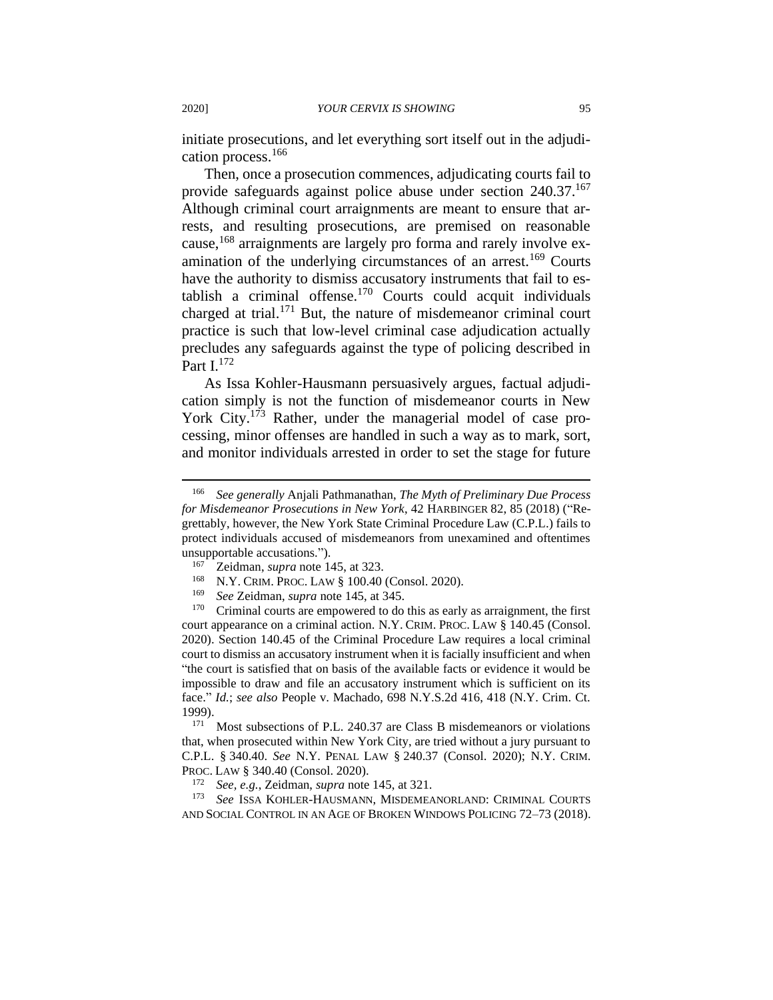initiate prosecutions, and let everything sort itself out in the adjudication process.<sup>166</sup>

Then, once a prosecution commences, adjudicating courts fail to provide safeguards against police abuse under section 240.37.<sup>167</sup> Although criminal court arraignments are meant to ensure that arrests, and resulting prosecutions, are premised on reasonable cause,<sup>168</sup> arraignments are largely pro forma and rarely involve examination of the underlying circumstances of an arrest.<sup>169</sup> Courts have the authority to dismiss accusatory instruments that fail to establish a criminal offense.<sup>170</sup> Courts could acquit individuals charged at trial.<sup>171</sup> But, the nature of misdemeanor criminal court practice is such that low-level criminal case adjudication actually precludes any safeguards against the type of policing described in Part I.<sup>172</sup>

As Issa Kohler-Hausmann persuasively argues, factual adjudication simply is not the function of misdemeanor courts in New York City.<sup>173</sup> Rather, under the managerial model of case processing, minor offenses are handled in such a way as to mark, sort, and monitor individuals arrested in order to set the stage for future

- <sup>168</sup> N.Y. CRIM. PROC. LAW § 100.40 (Consol. 2020).<br><sup>169</sup> See Zoidman, sung note 145, et 345.
- <sup>169</sup> *See* Zeidman, *supra* note 145, at 345.

Criminal courts are empowered to do this as early as arraignment, the first court appearance on a criminal action. N.Y. CRIM. PROC. LAW § 140.45 (Consol. 2020). Section 140.45 of the Criminal Procedure Law requires a local criminal court to dismiss an accusatory instrument when it is facially insufficient and when "the court is satisfied that on basis of the available facts or evidence it would be impossible to draw and file an accusatory instrument which is sufficient on its face." *Id.*; *see also* People v. Machado, 698 N.Y.S.2d 416, 418 (N.Y. Crim. Ct. 1999).

 $171$  Most subsections of P.L. 240.37 are Class B misdemeanors or violations that, when prosecuted within New York City, are tried without a jury pursuant to C.P.L. § 340.40. *See* N.Y. PENAL LAW § 240.37 (Consol. 2020); N.Y. CRIM. PROC. LAW § 340.40 (Consol. 2020).

<sup>173</sup> *See* ISSA KOHLER-HAUSMANN, MISDEMEANORLAND: CRIMINAL COURTS AND SOCIAL CONTROL IN AN AGE OF BROKEN WINDOWS POLICING 72–73 (2018).

<sup>166</sup> *See generally* Anjali Pathmanathan, *The Myth of Preliminary Due Process for Misdemeanor Prosecutions in New York*, 42 HARBINGER 82, 85 (2018) ("Regrettably, however, the New York State Criminal Procedure Law (C.P.L.) fails to protect individuals accused of misdemeanors from unexamined and oftentimes unsupportable accusations.").

<sup>167</sup> Zeidman, *supra* note 145, at 323.

<sup>172</sup> *See, e.g.*, Zeidman, *supra* note 145, at 321.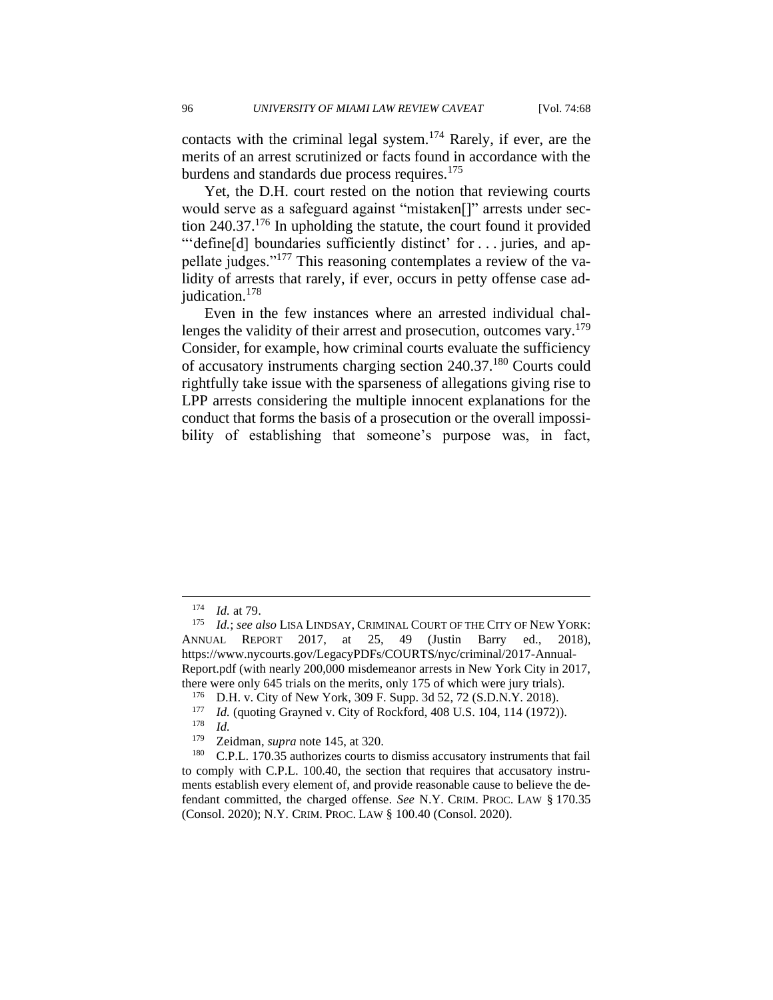contacts with the criminal legal system.<sup>174</sup> Rarely, if ever, are the merits of an arrest scrutinized or facts found in accordance with the burdens and standards due process requires.<sup>175</sup>

Yet, the D.H. court rested on the notion that reviewing courts would serve as a safeguard against "mistaken[]" arrests under section 240.37.<sup>176</sup> In upholding the statute, the court found it provided "'define[d] boundaries sufficiently distinct' for . . . juries, and appellate judges."<sup>177</sup> This reasoning contemplates a review of the validity of arrests that rarely, if ever, occurs in petty offense case adjudication.<sup>178</sup>

Even in the few instances where an arrested individual challenges the validity of their arrest and prosecution, outcomes vary.<sup>179</sup> Consider, for example, how criminal courts evaluate the sufficiency of accusatory instruments charging section 240.37.<sup>180</sup> Courts could rightfully take issue with the sparseness of allegations giving rise to LPP arrests considering the multiple innocent explanations for the conduct that forms the basis of a prosecution or the overall impossibility of establishing that someone's purpose was, in fact,

 $\frac{174}{175}$  *Id.* at 79.

*Id.*; *see also* LISA LINDSAY, CRIMINAL COURT OF THE CITY OF NEW YORK: ANNUAL REPORT 2017, at 25, 49 (Justin Barry ed., 2018), https://www.nycourts.gov/LegacyPDFs/COURTS/nyc/criminal/2017-Annual-Report.pdf (with nearly 200,000 misdemeanor arrests in New York City in 2017, there were only 645 trials on the merits, only 175 of which were jury trials).

<sup>176</sup> D.H. v. City of New York, 309 F. Supp. 3d 52, 72 (S.D.N.Y. 2018).

<sup>&</sup>lt;sup>177</sup> *Id.* (quoting Grayned v. City of Rockford, 408 U.S. 104, 114 (1972)).

*Id.* 

<sup>179</sup> Zeidman, *supra* note 145, at 320.

<sup>&</sup>lt;sup>180</sup> C.P.L. 170.35 authorizes courts to dismiss accusatory instruments that fail to comply with C.P.L. 100.40, the section that requires that accusatory instruments establish every element of, and provide reasonable cause to believe the defendant committed, the charged offense. *See* N.Y. CRIM. PROC. LAW § 170.35 (Consol. 2020); N.Y. CRIM. PROC. LAW § 100.40 (Consol. 2020).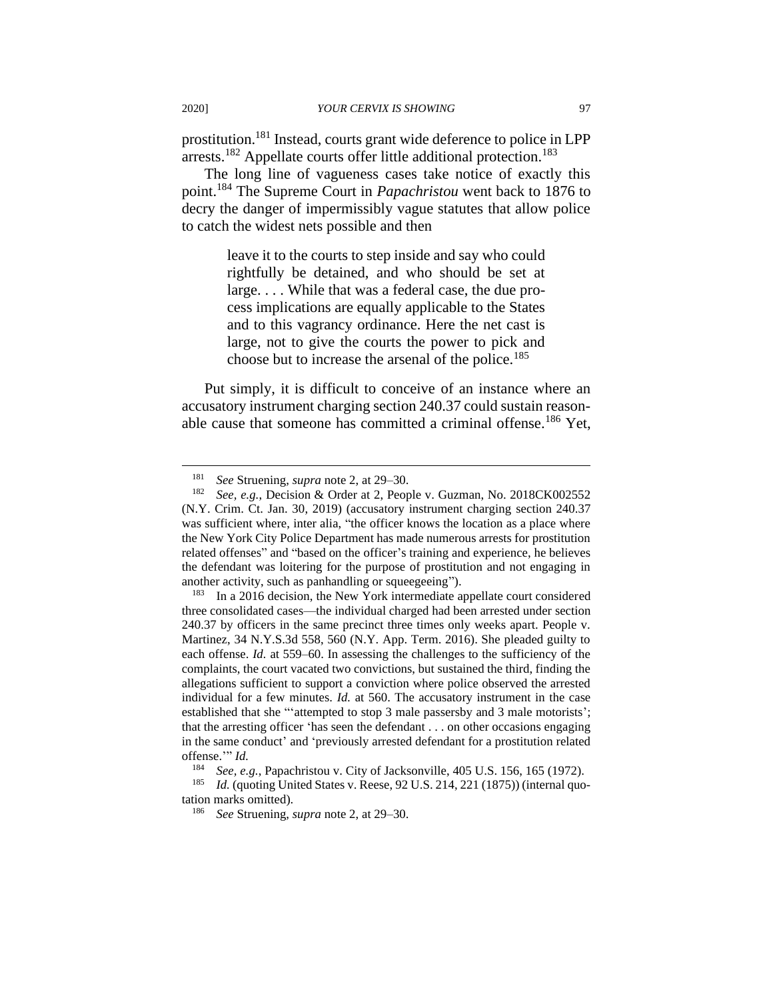prostitution.<sup>181</sup> Instead, courts grant wide deference to police in LPP arrests.<sup>182</sup> Appellate courts offer little additional protection.<sup>183</sup>

The long line of vagueness cases take notice of exactly this point.<sup>184</sup> The Supreme Court in *Papachristou* went back to 1876 to decry the danger of impermissibly vague statutes that allow police to catch the widest nets possible and then

> leave it to the courts to step inside and say who could rightfully be detained, and who should be set at large. . . . While that was a federal case, the due process implications are equally applicable to the States and to this vagrancy ordinance. Here the net cast is large, not to give the courts the power to pick and choose but to increase the arsenal of the police.<sup>185</sup>

Put simply, it is difficult to conceive of an instance where an accusatory instrument charging section 240.37 could sustain reasonable cause that someone has committed a criminal offense.<sup>186</sup> Yet,

<sup>181</sup> *See* Struening, *supra* note 2, at 29–30.

<sup>182</sup> *See, e.g.*, Decision & Order at 2, People v. Guzman, No. 2018CK002552 (N.Y. Crim. Ct. Jan. 30, 2019) (accusatory instrument charging section 240.37 was sufficient where, inter alia, "the officer knows the location as a place where the New York City Police Department has made numerous arrests for prostitution related offenses" and "based on the officer's training and experience, he believes the defendant was loitering for the purpose of prostitution and not engaging in another activity, such as panhandling or squeegeeing").

<sup>183</sup> In a 2016 decision, the New York intermediate appellate court considered three consolidated cases—the individual charged had been arrested under section 240.37 by officers in the same precinct three times only weeks apart. People v. Martinez, 34 N.Y.S.3d 558, 560 (N.Y. App. Term. 2016). She pleaded guilty to each offense. *Id.* at 559–60. In assessing the challenges to the sufficiency of the complaints, the court vacated two convictions, but sustained the third, finding the allegations sufficient to support a conviction where police observed the arrested individual for a few minutes. *Id.* at 560. The accusatory instrument in the case established that she "'attempted to stop 3 male passersby and 3 male motorists'; that the arresting officer 'has seen the defendant . . . on other occasions engaging in the same conduct' and 'previously arrested defendant for a prostitution related offense.'" *Id.*

See, e.g., Papachristou v. City of Jacksonville, 405 U.S. 156, 165 (1972).

<sup>&</sup>lt;sup>185</sup> *Id.* (quoting United States v. Reese, 92 U.S. 214, 221 (1875)) (internal quotation marks omitted).

<sup>186</sup> *See* Struening, *supra* note 2, at 29–30.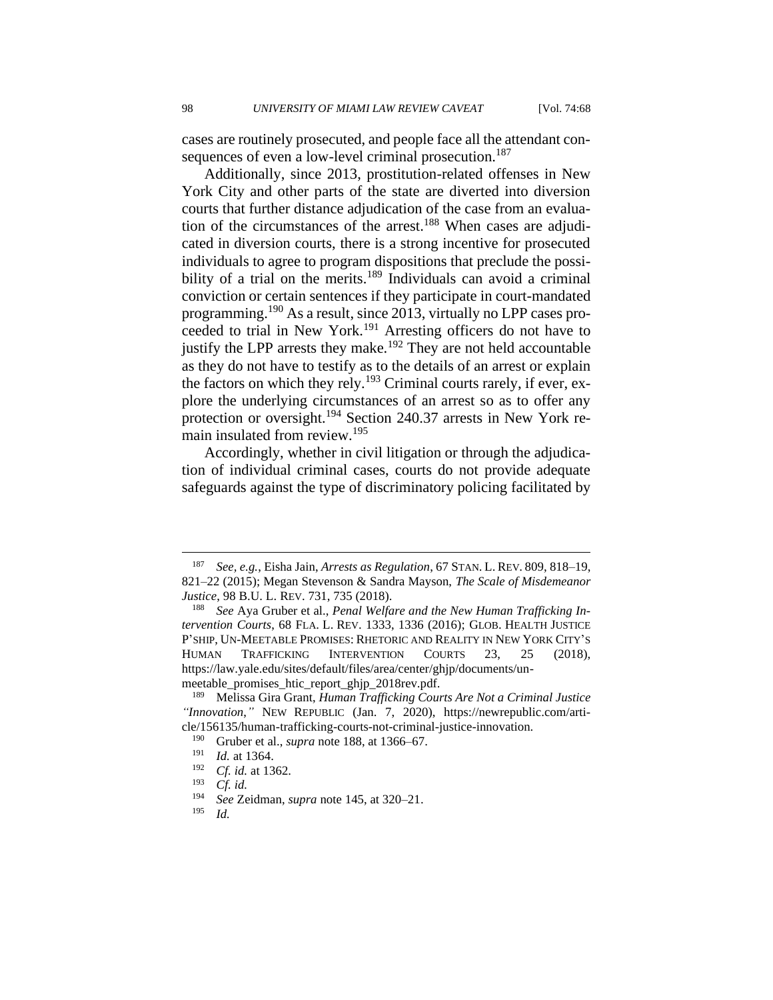cases are routinely prosecuted, and people face all the attendant consequences of even a low-level criminal prosecution.<sup>187</sup>

Additionally, since 2013, prostitution-related offenses in New York City and other parts of the state are diverted into diversion courts that further distance adjudication of the case from an evaluation of the circumstances of the arrest.<sup>188</sup> When cases are adjudicated in diversion courts, there is a strong incentive for prosecuted individuals to agree to program dispositions that preclude the possibility of a trial on the merits.<sup>189</sup> Individuals can avoid a criminal conviction or certain sentences if they participate in court-mandated programming.<sup>190</sup> As a result, since 2013, virtually no LPP cases proceeded to trial in New York.<sup>191</sup> Arresting officers do not have to justify the LPP arrests they make.<sup>192</sup> They are not held accountable as they do not have to testify as to the details of an arrest or explain the factors on which they rely.<sup>193</sup> Criminal courts rarely, if ever, explore the underlying circumstances of an arrest so as to offer any protection or oversight.<sup>194</sup> Section 240.37 arrests in New York remain insulated from review.<sup>195</sup>

Accordingly, whether in civil litigation or through the adjudication of individual criminal cases, courts do not provide adequate safeguards against the type of discriminatory policing facilitated by

<sup>187</sup> *See, e.g.*, Eisha Jain, *Arrests as Regulation*, 67 STAN. L. REV. 809, 818–19, 821–22 (2015); Megan Stevenson & Sandra Mayson, *The Scale of Misdemeanor Justice*, 98 B.U. L. REV. 731, 735 (2018).

<sup>188</sup> *See* Aya Gruber et al., *Penal Welfare and the New Human Trafficking Intervention Courts*, 68 FLA. L. REV. 1333, 1336 (2016); GLOB. HEALTH JUSTICE P'SHIP, UN-MEETABLE PROMISES: RHETORIC AND REALITY IN NEW YORK CITY'S HUMAN TRAFFICKING INTERVENTION COURTS 23, 25 (2018), https://law.yale.edu/sites/default/files/area/center/ghjp/documents/unmeetable promises htic report ghjp 2018rev.pdf.

<sup>189</sup> Melissa Gira Grant, *Human Trafficking Courts Are Not a Criminal Justice "Innovation*,*"* NEW REPUBLIC (Jan. 7, 2020), https://newrepublic.com/article/156135/human-trafficking-courts-not-criminal-justice-innovation.

<sup>&</sup>lt;sup>190</sup> Gruber et al., *supra* note 188, at 1366–67.<br><sup>191</sup> Id. at 1364

 $\frac{191}{192}$  *Id.* at 1364.

<sup>&</sup>lt;sup>192</sup> *Cf. id.* at 1362.

<sup>193</sup> *Cf. id.*

<sup>194</sup> *See* Zeidman, *supra* note 145, at 320–21.

*Id.*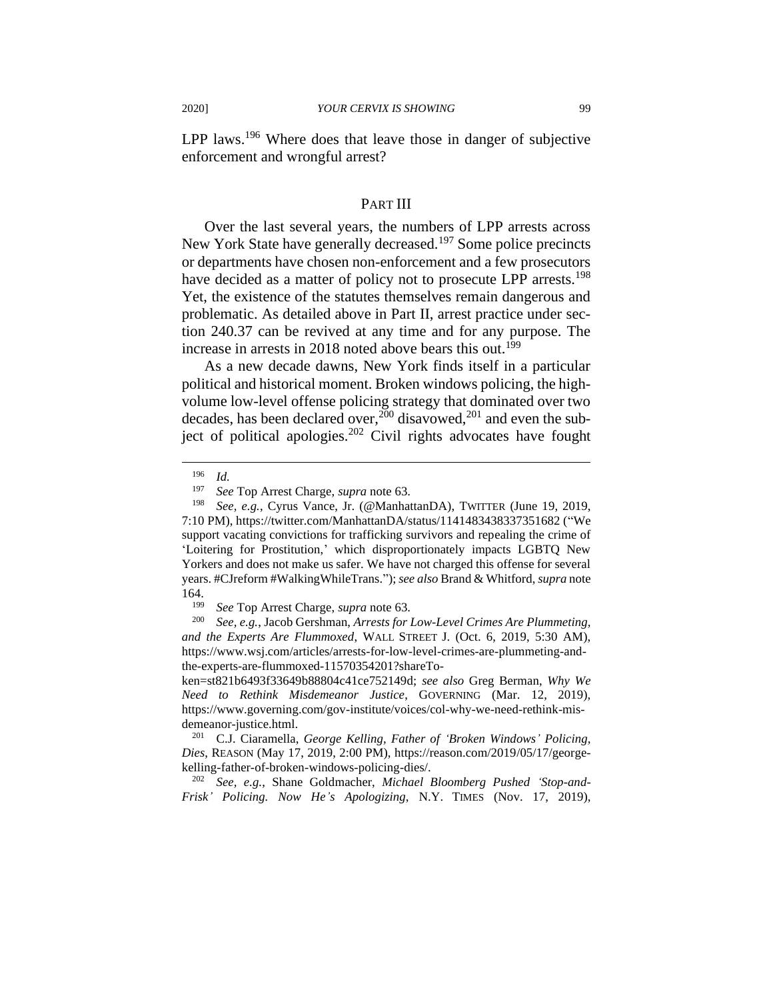LPP laws.<sup>196</sup> Where does that leave those in danger of subjective enforcement and wrongful arrest?

#### PART III

Over the last several years, the numbers of LPP arrests across New York State have generally decreased.<sup>197</sup> Some police precincts or departments have chosen non-enforcement and a few prosecutors have decided as a matter of policy not to prosecute LPP arrests.<sup>198</sup> Yet, the existence of the statutes themselves remain dangerous and problematic. As detailed above in Part II, arrest practice under section 240.37 can be revived at any time and for any purpose. The increase in arrests in 2018 noted above bears this out.<sup>199</sup>

As a new decade dawns, New York finds itself in a particular political and historical moment. Broken windows policing, the highvolume low-level offense policing strategy that dominated over two decades, has been declared over,<sup>200</sup> disavowed,<sup>201</sup> and even the subject of political apologies.<sup>202</sup> Civil rights advocates have fought

<sup>196</sup> *Id.*

<sup>197</sup> *See* Top Arrest Charge, *supra* note 63.

<sup>198</sup> *See, e.g.*, Cyrus Vance, Jr. (@ManhattanDA), TWITTER (June 19, 2019, 7:10 PM), https://twitter.com/ManhattanDA/status/1141483438337351682 ("We support vacating convictions for trafficking survivors and repealing the crime of 'Loitering for Prostitution,' which disproportionately impacts LGBTQ New Yorkers and does not make us safer. We have not charged this offense for several years. #CJreform #WalkingWhileTrans."); *see also* Brand & Whitford, *supra* note 164.

<sup>199</sup> *See* Top Arrest Charge, *supra* note 63.

<sup>200</sup> *See, e.g.*, Jacob Gershman, *Arrests for Low-Level Crimes Are Plummeting, and the Experts Are Flummoxed*, WALL STREET J. (Oct. 6, 2019, 5:30 AM), https://www.wsj.com/articles/arrests-for-low-level-crimes-are-plummeting-andthe-experts-are-flummoxed-11570354201?shareTo-

ken=st821b6493f33649b88804c41ce752149d; *see also* Greg Berman, *Why We Need to Rethink Misdemeanor Justice*, GOVERNING (Mar. 12, 2019), https://www.governing.com/gov-institute/voices/col-why-we-need-rethink-misdemeanor-justice.html.

<sup>201</sup> C.J. Ciaramella, *George Kelling, Father of 'Broken Windows' Policing, Dies*, REASON (May 17, 2019, 2:00 PM), https://reason.com/2019/05/17/georgekelling-father-of-broken-windows-policing-dies/.

<sup>202</sup> *See, e.g.*, Shane Goldmacher, *Michael Bloomberg Pushed 'Stop-and-Frisk' Policing. Now He's Apologizing*, N.Y. TIMES (Nov. 17, 2019),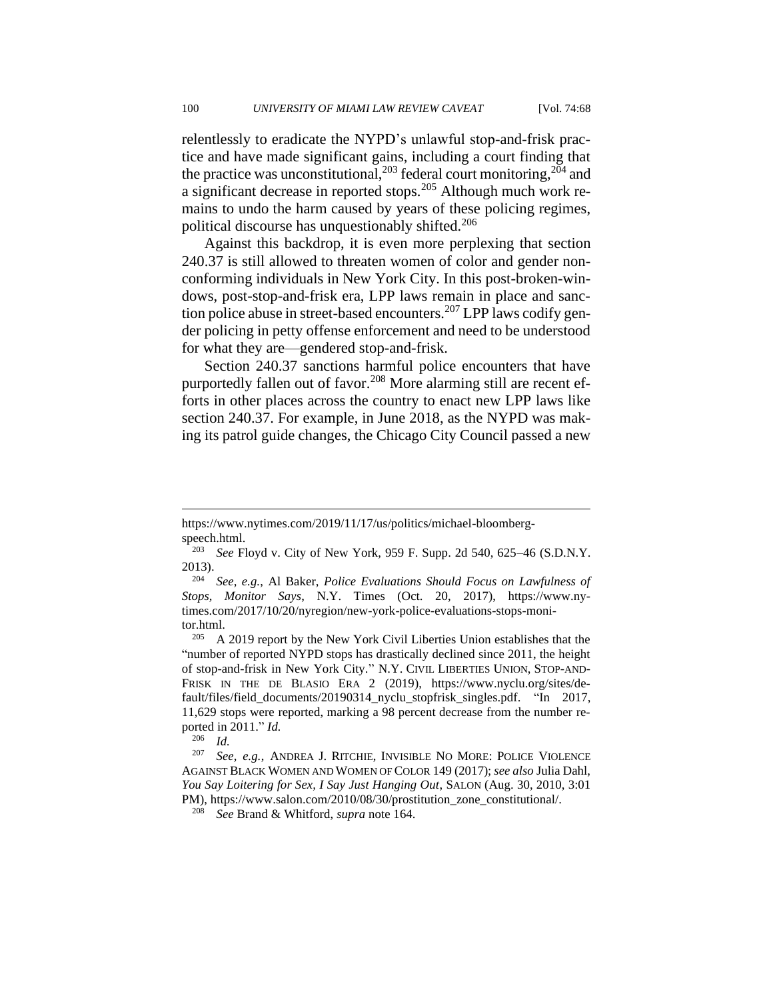relentlessly to eradicate the NYPD's unlawful stop-and-frisk practice and have made significant gains, including a court finding that the practice was unconstitutional,  $^{203}$  federal court monitoring,  $^{204}$  and a significant decrease in reported stops.<sup>205</sup> Although much work remains to undo the harm caused by years of these policing regimes, political discourse has unquestionably shifted.<sup>206</sup>

Against this backdrop, it is even more perplexing that section 240.37 is still allowed to threaten women of color and gender nonconforming individuals in New York City. In this post-broken-windows, post-stop-and-frisk era, LPP laws remain in place and sanction police abuse in street-based encounters.<sup>207</sup> LPP laws codify gender policing in petty offense enforcement and need to be understood for what they are—gendered stop-and-frisk.

Section 240.37 sanctions harmful police encounters that have purportedly fallen out of favor.<sup>208</sup> More alarming still are recent efforts in other places across the country to enact new LPP laws like section 240.37. For example, in June 2018, as the NYPD was making its patrol guide changes, the Chicago City Council passed a new

https://www.nytimes.com/2019/11/17/us/politics/michael-bloombergspeech.html.

<sup>203</sup> *See* Floyd v. City of New York, 959 F. Supp. 2d 540, 625–46 (S.D.N.Y. 2013).

<sup>204</sup> *See, e.g.*, Al Baker, *Police Evaluations Should Focus on Lawfulness of Stops, Monitor Says*, N.Y. Times (Oct. 20, 2017), https://www.nytimes.com/2017/10/20/nyregion/new-york-police-evaluations-stops-monitor.html.

A 2019 report by the New York Civil Liberties Union establishes that the "number of reported NYPD stops has drastically declined since 2011, the height of stop-and-frisk in New York City." N.Y. CIVIL LIBERTIES UNION, STOP-AND-FRISK IN THE DE BLASIO ERA 2 (2019), https://www.nyclu.org/sites/default/files/field\_documents/20190314\_nyclu\_stopfrisk\_singles.pdf. "In 2017, 11,629 stops were reported, marking a 98 percent decrease from the number reported in 2011." *Id.*

<sup>206</sup> *Id.*

<sup>207</sup> *See, e.g.*, ANDREA J. RITCHIE, INVISIBLE NO MORE: POLICE VIOLENCE AGAINST BLACK WOMEN AND WOMEN OF COLOR 149 (2017); *see also* Julia Dahl, *You Say Loitering for Sex, I Say Just Hanging Out*, SALON (Aug. 30, 2010, 3:01 PM), https://www.salon.com/2010/08/30/prostitution\_zone\_constitutional/.

<sup>208</sup> *See* Brand & Whitford, *supra* note 164.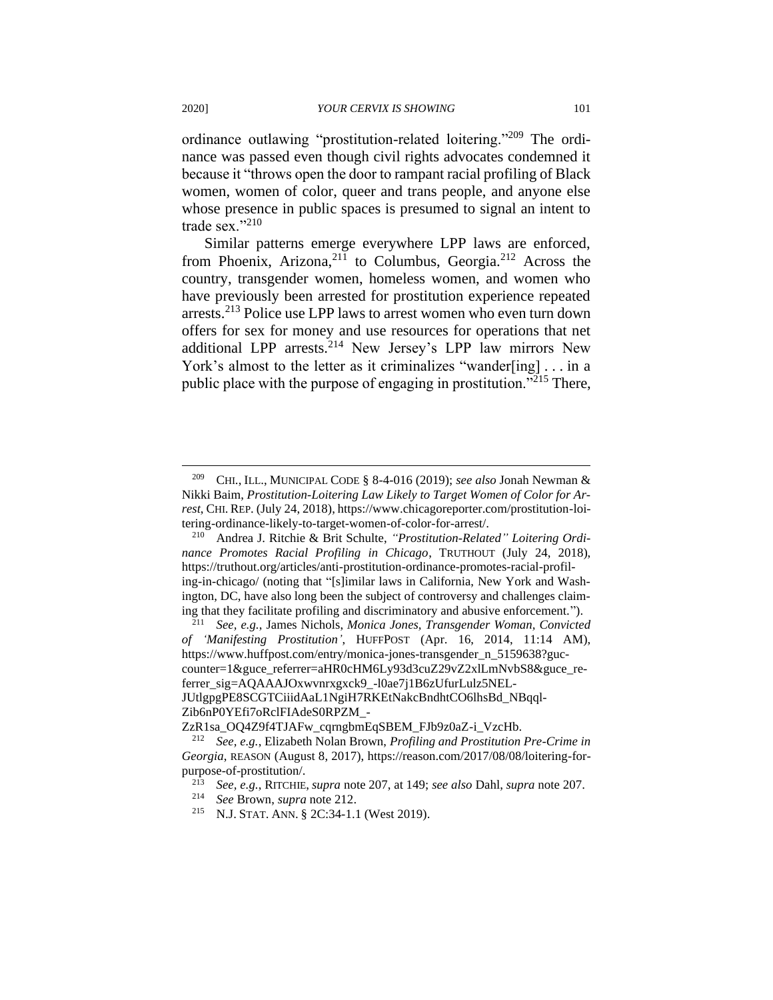ordinance outlawing "prostitution-related loitering."<sup>209</sup> The ordinance was passed even though civil rights advocates condemned it because it "throws open the door to rampant racial profiling of Black women, women of color, queer and trans people, and anyone else whose presence in public spaces is presumed to signal an intent to trade sex."<sup>210</sup>

Similar patterns emerge everywhere LPP laws are enforced, from Phoenix, Arizona,<sup>211</sup> to Columbus, Georgia.<sup>212</sup> Across the country, transgender women, homeless women, and women who have previously been arrested for prostitution experience repeated arrests.<sup>213</sup> Police use LPP laws to arrest women who even turn down offers for sex for money and use resources for operations that net additional LPP arrests.<sup>214</sup> New Jersey's LPP law mirrors New York's almost to the letter as it criminalizes "wander[ing] . . . in a public place with the purpose of engaging in prostitution."<sup>215</sup> There,

<sup>209</sup> CHI., ILL., MUNICIPAL CODE § 8-4-016 (2019); *see also* Jonah Newman & Nikki Baim, *Prostitution-Loitering Law Likely to Target Women of Color for Arrest*, CHI. REP. (July 24, 2018), https://www.chicagoreporter.com/prostitution-loitering-ordinance-likely-to-target-women-of-color-for-arrest/.

<sup>210</sup> Andrea J. Ritchie & Brit Schulte, *"Prostitution-Related" Loitering Ordinance Promotes Racial Profiling in Chicago*, TRUTHOUT (July 24, 2018), https://truthout.org/articles/anti-prostitution-ordinance-promotes-racial-profiling-in-chicago/ (noting that "[s]imilar laws in California, New York and Washington, DC, have also long been the subject of controversy and challenges claiming that they facilitate profiling and discriminatory and abusive enforcement.").

<sup>211</sup> *See, e.g.*, James Nichols, *Monica Jones, Transgender Woman, Convicted of 'Manifesting Prostitution'*, HUFFPOST (Apr. 16, 2014, 11:14 AM), https://www.huffpost.com/entry/monica-jones-transgender\_n\_5159638?guccounter=1&guce\_referrer=aHR0cHM6Ly93d3cuZ29vZ2xlLmNvbS8&guce\_referrer\_sig=AQAAAJOxwvnrxgxck9\_-l0ae7j1B6zUfurLulz5NEL-JUtlgpgPE8SCGTCiiidAaL1NgiH7RKEtNakcBndhtCO6lhsBd\_NBqql-Zib6nP0YEfi7oRclFIAdeS0RPZM\_-

ZzR1sa\_OQ4Z9f4TJAFw\_cqrngbmEqSBEM\_FJb9z0aZ-i\_VzcHb.

<sup>212</sup> *See, e.g.*, Elizabeth Nolan Brown, *Profiling and Prostitution Pre-Crime in Georgia*, REASON (August 8, 2017), https://reason.com/2017/08/08/loitering-forpurpose-of-prostitution/.

<sup>213</sup> *See, e.g.*, RITCHIE, *supra* note 207, at 149; *see also* Dahl, *supra* note 207.

<sup>214</sup> *See* Brown, *supra* note 212.

<sup>215</sup> N.J. STAT. ANN. § 2C:34-1.1 (West 2019).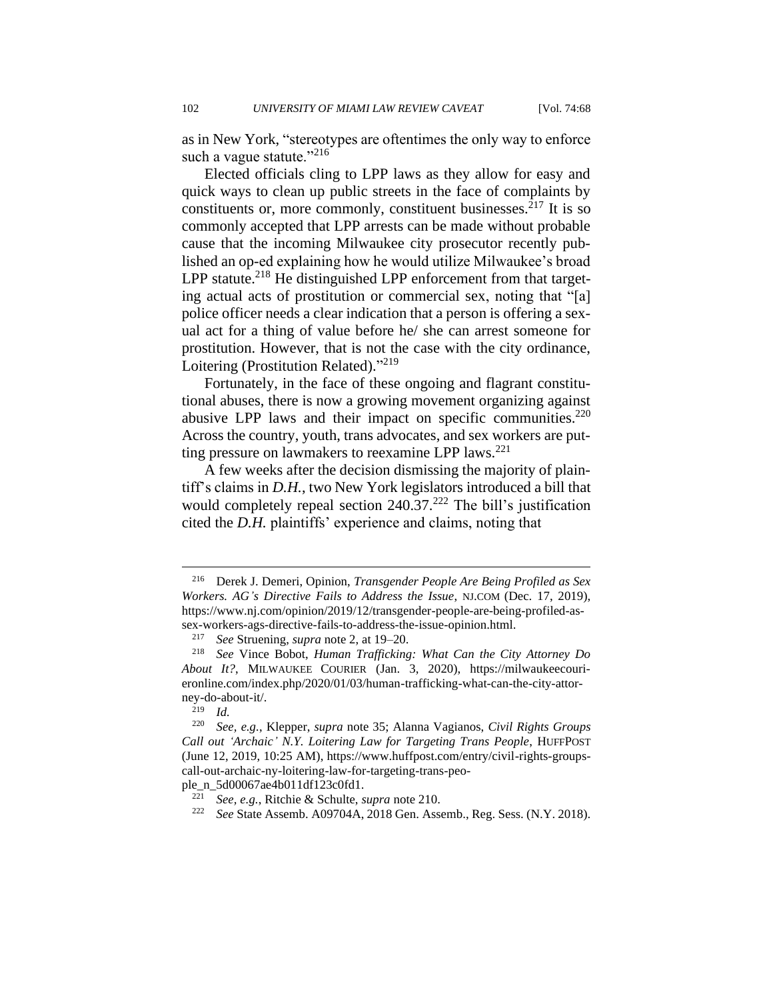as in New York, "stereotypes are oftentimes the only way to enforce such a vague statute." $^{216}$ 

Elected officials cling to LPP laws as they allow for easy and quick ways to clean up public streets in the face of complaints by constituents or, more commonly, constituent businesses.<sup>217</sup> It is so commonly accepted that LPP arrests can be made without probable cause that the incoming Milwaukee city prosecutor recently published an op-ed explaining how he would utilize Milwaukee's broad LPP statute.<sup>218</sup> He distinguished LPP enforcement from that targeting actual acts of prostitution or commercial sex, noting that "[a] police officer needs a clear indication that a person is offering a sexual act for a thing of value before he/ she can arrest someone for prostitution. However, that is not the case with the city ordinance, Loitering (Prostitution Related)."<sup>219</sup>

Fortunately, in the face of these ongoing and flagrant constitutional abuses, there is now a growing movement organizing against abusive LPP laws and their impact on specific communities. $220$ Across the country, youth, trans advocates, and sex workers are putting pressure on lawmakers to reexamine LPP laws.<sup>221</sup>

A few weeks after the decision dismissing the majority of plaintiff's claims in *D.H.*, two New York legislators introduced a bill that would completely repeal section  $240.37<sup>222</sup>$  The bill's justification cited the *D.H.* plaintiffs' experience and claims, noting that

ple\_n\_5d00067ae4b011df123c0fd1.

<sup>216</sup> Derek J. Demeri, Opinion, *Transgender People Are Being Profiled as Sex Workers. AG's Directive Fails to Address the Issue*, NJ.COM (Dec. 17, 2019), https://www.nj.com/opinion/2019/12/transgender-people-are-being-profiled-assex-workers-ags-directive-fails-to-address-the-issue-opinion.html.

<sup>217</sup> *See* Struening, *supra* note 2, at 19–20.

<sup>218</sup> *See* Vince Bobot, *Human Trafficking: What Can the City Attorney Do About It?*, MILWAUKEE COURIER (Jan. 3, 2020), https://milwaukeecourieronline.com/index.php/2020/01/03/human-trafficking-what-can-the-city-attorney-do-about-it/.

 $\frac{219}{220}$  *Id.* 

<sup>220</sup> *See, e.g.*, Klepper, *supra* note 35; Alanna Vagianos, *Civil Rights Groups Call out 'Archaic' N.Y. Loitering Law for Targeting Trans People*, HUFFPOST (June 12, 2019, 10:25 AM), https://www.huffpost.com/entry/civil-rights-groupscall-out-archaic-ny-loitering-law-for-targeting-trans-peo-

<sup>221</sup> *See, e.g.*, Ritchie & Schulte, *supra* note 210.

<sup>222</sup> *See* State Assemb. A09704A, 2018 Gen. Assemb., Reg. Sess. (N.Y. 2018).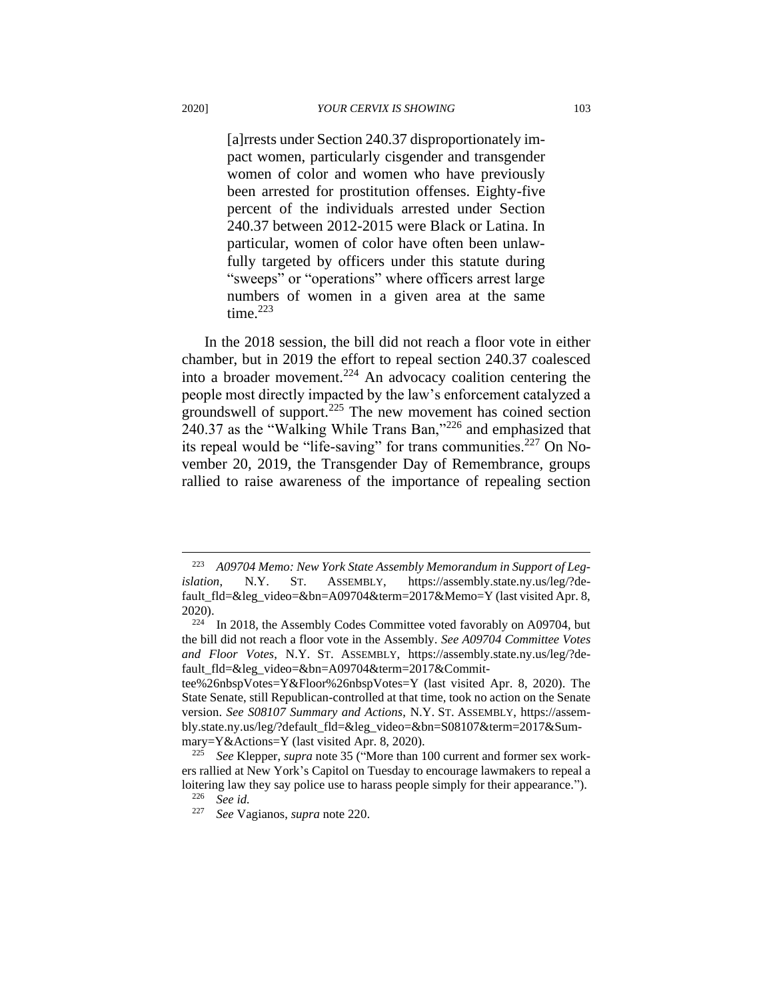[a]rrests under Section 240.37 disproportionately impact women, particularly cisgender and transgender women of color and women who have previously been arrested for prostitution offenses. Eighty-five percent of the individuals arrested under Section 240.37 between 2012-2015 were Black or Latina. In particular, women of color have often been unlawfully targeted by officers under this statute during "sweeps" or "operations" where officers arrest large numbers of women in a given area at the same time. $223$ 

In the 2018 session, the bill did not reach a floor vote in either chamber, but in 2019 the effort to repeal section 240.37 coalesced into a broader movement.<sup>224</sup> An advocacy coalition centering the people most directly impacted by the law's enforcement catalyzed a groundswell of support.<sup>225</sup> The new movement has coined section 240.37 as the "Walking While Trans Ban,"<sup>226</sup> and emphasized that its repeal would be "life-saving" for trans communities.<sup>227</sup> On November 20, 2019, the Transgender Day of Remembrance, groups rallied to raise awareness of the importance of repealing section

<sup>223</sup> *A09704 Memo: New York State Assembly Memorandum in Support of Legislation*, N.Y. ST. ASSEMBLY, https://assembly.state.ny.us/leg/?default fld=&leg\_video=&bn=A09704&term=2017&Memo=Y (last visited Apr. 8, 2020).

 $224$  In 2018, the Assembly Codes Committee voted favorably on A09704, but the bill did not reach a floor vote in the Assembly. *See A09704 Committee Votes and Floor Votes*, N.Y. ST. ASSEMBLY, https://assembly.state.ny.us/leg/?default\_fld=&leg\_video=&bn=A09704&term=2017&Commit-

tee%26nbspVotes=Y&Floor%26nbspVotes=Y (last visited Apr. 8, 2020). The State Senate, still Republican-controlled at that time, took no action on the Senate version. *See S08107 Summary and Actions*, N.Y. ST. ASSEMBLY, https://assembly.state.ny.us/leg/?default\_fld=&leg\_video=&bn=S08107&term=2017&Summary=Y&Actions=Y (last visited Apr. 8, 2020).

See Klepper, *supra* note 35 ("More than 100 current and former sex workers rallied at New York's Capitol on Tuesday to encourage lawmakers to repeal a loitering law they say police use to harass people simply for their appearance.").

<sup>226</sup> *See id.*

<sup>227</sup> *See* Vagianos, *supra* note 220.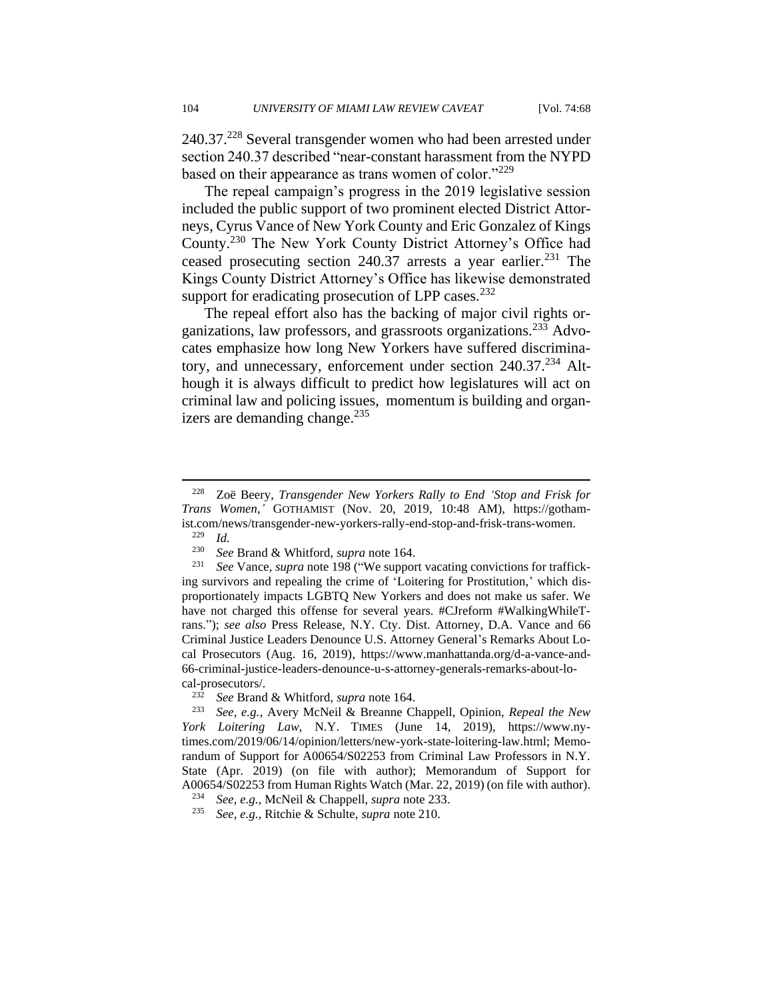240.37.<sup>228</sup> Several transgender women who had been arrested under section 240.37 described "near-constant harassment from the NYPD based on their appearance as trans women of color."<sup>229</sup>

The repeal campaign's progress in the 2019 legislative session included the public support of two prominent elected District Attorneys, Cyrus Vance of New York County and Eric Gonzalez of Kings County.<sup>230</sup> The New York County District Attorney's Office had ceased prosecuting section  $240.37$  arrests a year earlier.<sup>231</sup> The Kings County District Attorney's Office has likewise demonstrated support for eradicating prosecution of LPP cases. $^{232}$ 

The repeal effort also has the backing of major civil rights organizations, law professors, and grassroots organizations.<sup>233</sup> Advocates emphasize how long New Yorkers have suffered discriminatory, and unnecessary, enforcement under section 240.37.<sup>234</sup> Although it is always difficult to predict how legislatures will act on criminal law and policing issues, momentum is building and organizers are demanding change. $^{235}$ 

<sup>228</sup> Zoë Beery, *Transgender New Yorkers Rally to End 'Stop and Frisk for Trans Women*,*'* GOTHAMIST (Nov. 20, 2019, 10:48 AM), https://gothamist.com/news/transgender-new-yorkers-rally-end-stop-and-frisk-trans-women.

 $\frac{229}{230}$  *Id.* 

<sup>230</sup> *See* Brand & Whitford, *supra* note 164.

<sup>231</sup> *See* Vance, *supra* note 198 ("We support vacating convictions for trafficking survivors and repealing the crime of 'Loitering for Prostitution,' which disproportionately impacts LGBTQ New Yorkers and does not make us safer. We have not charged this offense for several years. #CJreform #WalkingWhileTrans."); *see also* Press Release, N.Y. Cty. Dist. Attorney, D.A. Vance and 66 Criminal Justice Leaders Denounce U.S. Attorney General's Remarks About Local Prosecutors (Aug. 16, 2019), https://www.manhattanda.org/d-a-vance-and-66-criminal-justice-leaders-denounce-u-s-attorney-generals-remarks-about-local-prosecutors/.

<sup>232</sup> *See* Brand & Whitford, *supra* note 164.

<sup>233</sup> *See, e.g.*, Avery McNeil & Breanne Chappell, Opinion, *Repeal the New York Loitering Law*, N.Y. TIMES (June 14, 2019), https://www.nytimes.com/2019/06/14/opinion/letters/new-york-state-loitering-law.html; Memorandum of Support for A00654/S02253 from Criminal Law Professors in N.Y. State (Apr. 2019) (on file with author); Memorandum of Support for A00654/S02253 from Human Rights Watch (Mar. 22, 2019) (on file with author).

<sup>234</sup> *See, e.g.*, McNeil & Chappell, *supra* note 233.

<sup>235</sup> *See, e.g.*, Ritchie & Schulte, *supra* note 210.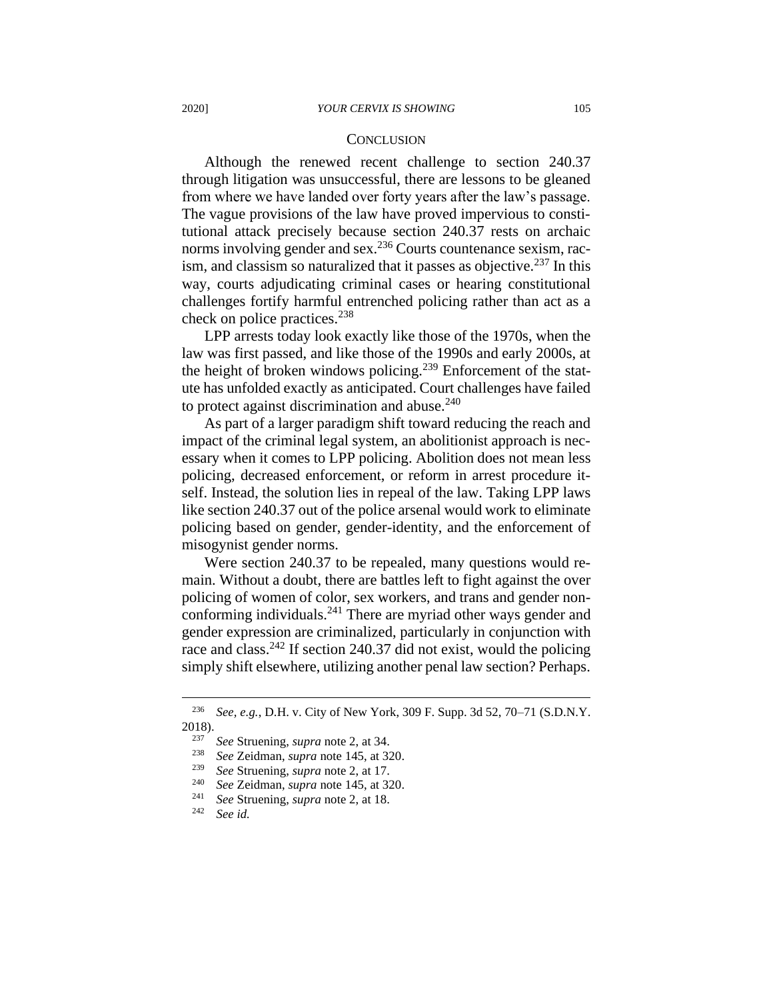#### **CONCLUSION**

Although the renewed recent challenge to section 240.37 through litigation was unsuccessful, there are lessons to be gleaned from where we have landed over forty years after the law's passage. The vague provisions of the law have proved impervious to constitutional attack precisely because section 240.37 rests on archaic norms involving gender and sex.<sup>236</sup> Courts countenance sexism, racism, and classism so naturalized that it passes as objective.<sup>237</sup> In this way, courts adjudicating criminal cases or hearing constitutional challenges fortify harmful entrenched policing rather than act as a check on police practices.<sup>238</sup>

LPP arrests today look exactly like those of the 1970s, when the law was first passed, and like those of the 1990s and early 2000s, at the height of broken windows policing.<sup>239</sup> Enforcement of the statute has unfolded exactly as anticipated. Court challenges have failed to protect against discrimination and abuse. $240$ 

As part of a larger paradigm shift toward reducing the reach and impact of the criminal legal system, an abolitionist approach is necessary when it comes to LPP policing. Abolition does not mean less policing, decreased enforcement, or reform in arrest procedure itself. Instead, the solution lies in repeal of the law. Taking LPP laws like section 240.37 out of the police arsenal would work to eliminate policing based on gender, gender-identity, and the enforcement of misogynist gender norms.

Were section 240.37 to be repealed, many questions would remain. Without a doubt, there are battles left to fight against the over policing of women of color, sex workers, and trans and gender nonconforming individuals.<sup>241</sup> There are myriad other ways gender and gender expression are criminalized, particularly in conjunction with race and class.<sup>242</sup> If section 240.37 did not exist, would the policing simply shift elsewhere, utilizing another penal law section? Perhaps.

<sup>236</sup> *See, e.g.*, D.H. v. City of New York, 309 F. Supp. 3d 52, 70–71 (S.D.N.Y. 2018).

<sup>237</sup> *See* Struening, *supra* note 2, at 34.

<sup>238</sup> *See* Zeidman, *supra* note 145, at 320.

<sup>239</sup> *See* Struening, *supra* note 2, at 17.

<sup>240</sup> *See* Zeidman, *supra* note 145, at 320.

<sup>241</sup> *See* Struening, *supra* note 2, at 18.

See *id.*